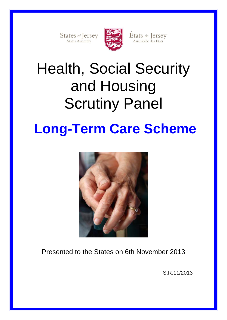States of Jersey



États de Jersey<br>Assemblée des États

# Health, Social Security and Housing Scrutiny Panel

## **Long-Term Care Scheme**



Presented to the States on 6th November 2013

S.R.11/2013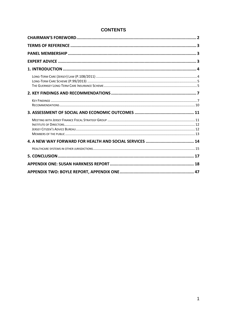### **CONTENTS**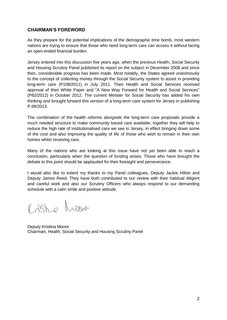### <span id="page-3-0"></span>**CHAIRMAN'S FOREWORD**

As they prepare for the potential implications of the demographic time bomb, most western nations are trying to ensure that those who need long-term care can access it without facing an open-ended financial burden.

Jersey entered into this discussion five years ago, when the previous Health, Social Security and Housing Scrutiny Panel published its report on the subject in December 2008 and since then, considerable progress has been made. Most notably, the States agreed unanimously to the concept of collecting money through the Social Security system to assist in providing long-term care (P108/2011) in July 2011. Then Health and Social Services received approval of their White Paper and "A New Way Forward for Health and Social Services" (P82/2012) in October 2012. The current Minister for Social Security has added his own thinking and brought forward this version of a long-term care system for Jersey in publishing P.99/2013.

The combination of the health reforms alongside the long-term care proposals provide a much needed structure to make community based care available, together they will help to reduce the high rate of institutionalised care we see in Jersey, in effect bringing down some of the cost and also improving the quality of life of those who wish to remain in their own homes whilst receiving care.

Many of the nations who are looking at this issue have not yet been able to reach a conclusion, particularly when the question of funding arises. Those who have brought the debate to this point should be applauded for their foresight and perseverance.

I would also like to extent my thanks to my Panel colleagues, Deputy Jackie Hilton and Deputy James Reed. They have both contributed to our review with their habitual diligent and careful work and also our Scrutiny Officers who always respond to our demanding schedule with a calm smile and positive attitude.

Lishe Moore

Deputy Kristina Moore Chairman, Health, Social Security and Housing Scrutiny Panel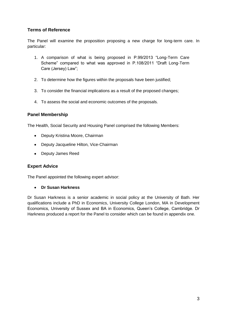### <span id="page-4-0"></span>**Terms of Reference**

The Panel will examine the proposition proposing a new charge for long-term care. In particular:

- 1. A comparison of what is being proposed in P.99/2013 "Long-Term Care Scheme" compared to what was approved in P.108/2011 "Draft Long-Term Care (Jersey) Law";
- 2. To determine how the figures within the proposals have been justified;
- 3. To consider the financial implications as a result of the proposed changes;
- 4. To assess the social and economic outcomes of the proposals.

### <span id="page-4-1"></span>**Panel Membership**

The Health, Social Security and Housing Panel comprised the following Members:

- $\bullet$ Deputy Kristina Moore, Chairman
- Deputy Jacqueline Hilton, Vice-Chairman
- Deputy James Reed

### <span id="page-4-2"></span>**Expert Advice**

The Panel appointed the following expert advisor:

### **Dr Susan Harkness**

Dr Susan Harkness is a senior academic in social policy at the University of Bath. Her qualifications include a PhD in Economics, University College London, MA in Development Economics, University of Sussex and BA in Economics, Queen's College, Cambridge. Dr Harkness produced a report for the Panel to consider which can be found in appendix one.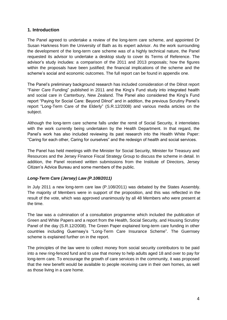### <span id="page-5-0"></span>**1. Introduction**

The Panel agreed to undertake a review of the long-term care scheme, and appointed Dr Susan Harkness from the University of Bath as its expert advisor. As the work surrounding the development of the long-term care scheme was of a highly technical nature, the Panel requested its advisor to undertake a desktop study to cover its Terms of Reference. The advisor's study includes: a comparison of the 2011 and 2013 proposals; how the figures within the proposals have been justified; the financial implications of the scheme and the scheme's social and economic outcomes. The full report can be found in appendix one.

The Panel's preliminary background research has included consideration of the Dilnot report "Fairer Care Funding" published in 2011 and the King's Fund study into integrated health and social care in Canterbury, New Zealand. The Panel also considered the King's Fund report "Paying for Social Care: Beyond Dilnot" and in addition, the previous Scrutiny Panel's report "Long-Term Care of the Elderly" (S.R.12/2008) and various media articles on the subject.

Although the long-term care scheme falls under the remit of Social Security, it interrelates with the work currently being undertaken by the Health Department. In that regard, the Panel's work has also included reviewing its past research into the Health White Paper: "Caring for each other, Caring for ourselves" and the redesign of health and social services.

The Panel has held meetings with the Minister for Social Security, Minister for Treasury and Resources and the Jersey Finance Fiscal Strategy Group to discuss the scheme in detail. In addition, the Panel received written submissions from the Institute of Directors, Jersey Citizen's Advice Bureau and some members of the public.

### <span id="page-5-1"></span>*Long-Term Care (Jersey) Law (P.108/2011)*

In July 2011 a new long-term care law (P.108/2011) was debated by the States Assembly. The majority of Members were in support of the proposition, and this was reflected in the result of the vote, which was approved unanimously by all 48 Members who were present at the time.

The law was a culmination of a consultation programme which included the publication of Green and White Papers and a report from the Health, Social Security, and Housing Scrutiny Panel of the day (S.R.12/2008). The Green Paper explained long-term care funding in other countries including Guernsey's "Long-Term Care Insurance Scheme". The Guernsey scheme is explained further on in the report.

The principles of the law were to collect money from social security contributors to be paid into a new ring-fenced fund and to use that money to help adults aged 18 and over to pay for long-term care. To encourage the growth of care services in the community, it was proposed that the new benefit would be available to people receiving care in their own homes, as well as those living in a care home.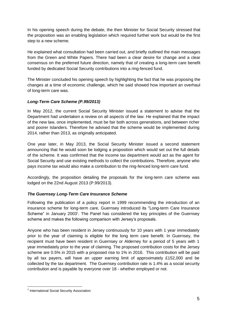In his opening speech during the debate, the then Minister for Social Security stressed that the proposition was an enabling legislation which required further work but would be the first step to a new scheme.

He explained what consultation had been carried out, and briefly outlined the main messages from the Green and White Papers. There had been a clear desire for change and a clear consensus on the preferred future direction, namely that of creating a long-term care benefit funded by dedicated Social Security contributions into a ring-fenced fund.

The Minister concluded his opening speech by highlighting the fact that he was proposing the changes at a time of economic challenge, which he said showed how important an overhaul of long-term care was.

### <span id="page-6-0"></span>*Long-Term Care Scheme (P.99/2013)*

In May 2012, the current Social Security Minister issued a statement to advise that the Department had undertaken a review on all aspects of the law. He explained that the impact of the new law, once implemented, must be fair both across generations, and between richer and poorer Islanders. Therefore he advised that the scheme would be implemented during 2014, rather than 2013, as originally anticipated.

One year later, in May 2013, the Social Security Minister issued a second statement announcing that he would soon be lodging a proposition which would set out the full details of the scheme. It was confirmed that the income tax department would act as the agent for Social Security and use existing methods to collect the contributions. Therefore, anyone who pays income tax would also make a contribution to the ring-fenced long-term care fund.

Accordingly, the proposition detailing the proposals for the long-term care scheme was lodged on the 22nd August 2013 (P.99/2013).

### <span id="page-6-1"></span>*The Guernsey Long-Term Care Insurance Scheme*

Following the publication of a policy report in 1999 recommending the introduction of an insurance scheme for long-term care, Guernsey introduced its "Long-term Care Insurance Scheme" in January 2003<sup>1</sup>. The Panel has considered the key principles of the Guernsey scheme and makes the following comparison with Jersey's proposals.

Anyone who has been resident in Jersey continuously for 10 years with 1 year immediately prior to the year of claiming is eligible for the long term care benefit. In Guernsey, the recipient must have been resident in Guernsey or Alderney for a period of 5 years with 1 year immediately prior to the year of claiming. The proposed contribution costs for the Jersey scheme are 0.5% in 2015 with a proposed rise to 1% in 2016. This contribution will be paid by all tax payers, will have an upper earning limit of approximately £152,000 and be collected by the tax department. The Guernsey contribution rate is 1.4% as a social security contribution and is payable by everyone over 18 - whether employed or not.

1

<sup>&</sup>lt;sup>1</sup> International Social Security Association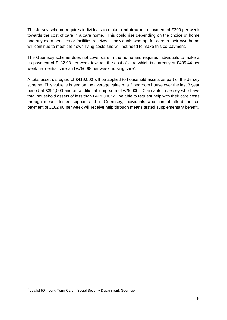The Jersey scheme requires individuals to make a **minimum** co-payment of £300 per week towards the cost of care in a care home. This could rise depending on the choice of home and any extra services or facilities received. Individuals who opt for care in their own home will continue to meet their own living costs and will not need to make this co-payment.

The Guernsey scheme does not cover care in the home and requires individuals to make a co-payment of £182.98 per week towards the cost of care which is currently at £405.44 per week residential care and £756.98 per week nursing care<sup>2</sup>.

A total asset disregard of £419,000 will be applied to household assets as part of the Jersey scheme. This value is based on the average value of a 2 bedroom house over the last 3 year period at £394,000 and an additional lump sum of £25,000. Claimants in Jersey who have total household assets of less than £419,000 will be able to request help with their care costs through means tested support and in Guernsey, individuals who cannot afford the copayment of £182.98 per week will receive help through means tested supplementary benefit.

1

 $2$  Leaflet 50 – Long Term Care – Social Security Department, Guernsey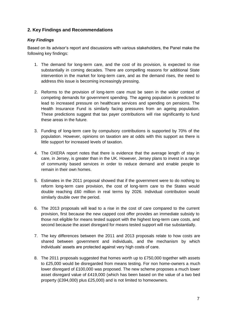### <span id="page-8-0"></span>**2. Key Findings and Recommendations**

### <span id="page-8-1"></span>*Key Findings*

Based on its advisor's report and discussions with various stakeholders, the Panel make the following key findings:

- 1. The demand for long-term care, and the cost of its provision, is expected to rise substantially in coming decades. There are compelling reasons for additional State intervention in the market for long-term care, and as the demand rises, the need to address this issue is becoming increasingly pressing.
- 2. Reforms to the provision of long-term care must be seen in the wider context of competing demands for government spending. The ageing population is predicted to lead to increased pressure on healthcare services and spending on pensions. The Health Insurance Fund is similarly facing pressures from an ageing population. These predictions suggest that tax payer contributions will rise significantly to fund these areas in the future.
- 3. Funding of long-term care by compulsory contributions is supported by 70% of the population. However, opinions on taxation are at odds with this support as there is little support for increased levels of taxation.
- 4. The OXERA report notes that there is evidence that the average length of stay in care, in Jersey, is greater than in the UK. However, Jersey plans to invest in a range of community based services in order to reduce demand and enable people to remain in their own homes.
- 5. Estimates in the 2011 proposal showed that if the government were to do nothing to reform long-term care provision, the cost of long-term care to the States would double reaching £60 million in real terms by 2026. Individual contribution would similarly double over the period.
- 6. The 2013 proposals will lead to a rise in the cost of care compared to the current provision, first because the new capped cost offer provides an immediate subsidy to those not eligible for means tested support with the highest long-term care costs, and second because the asset disregard for means tested support will rise substantially.
- 7. The key differences between the 2011 and 2013 proposals relate to how costs are shared between government and individuals, and the mechanism by which individuals' assets are protected against very high costs of care.
- 8. The 2011 proposals suggested that homes worth up to £750,000 together with assets to £25,000 would be disregarded from means testing. For non home-owners a much lower disregard of £100,000 was proposed. The new scheme proposes a much lower asset disregard value of £419,000 (which has been based on the value of a two bed property (£394,000) plus £25,000) and is not limited to homeowners.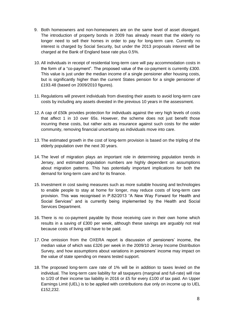- 9. Both homeowners and non-homeowners are on the same level of asset disregard. The introduction of property bonds in 2009 has already meant that the elderly no longer need to sell their homes in order to pay for long-term care. Currently no interest is charged by Social Security, but under the 2013 proposals interest will be charged at the Bank of England base rate plus 0.5%.
- 10. All individuals in receipt of residential long-term care will pay accommodation costs in the form of a "co-payment". The proposed value of the co-payment is currently £300. This value is just under the median income of a single pensioner after housing costs, but is significantly higher than the current States pension for a single pensioner of £193.48 (based on 2009/2010 figures).
- 11. Regulations will prevent individuals from divesting their assets to avoid long-term care costs by including any assets divested in the previous 10 years in the assessment.
- 12. A cap of £50k provides protection for individuals against the very high levels of costs that affect 1 in 10 over 65s. However, the scheme does not just benefit those incurring these costs, but rather acts as insurance against such costs for the wider community, removing financial uncertainty as individuals move into care.
- 13. The estimated growth in the cost of long-term provision is based on the tripling of the elderly population over the next 30 years.
- 14. The level of migration plays an important role in determining population trends in Jersey, and estimated population numbers are highly dependent on assumptions about migration patterns. This has potentially important implications for both the demand for long-term care and for its finance.
- 15. Investment in cost saving measures such as more suitable housing and technologies to enable people to stay at home for longer, may reduce costs of long-term care provision. This was recognised in P.82/2013 "A New Way Forward for Health and Social Services" and is currently being implemented by the Health and Social Services Department.
- 16. There is no co-payment payable by those receiving care in their own home which results in a saving of £300 per week, although these savings are arguably not real because costs of living still have to be paid.
- 17. One omission from the OXERA report is discussion of pensioners' income, the median value of which was £326 per week in the 2009/10 Jersey Income Distribution Survey, and how assumptions about variations in pensioners' income may impact on the value of state spending on means tested support.
- 18. The proposed long-term care rate of 1% will be in addition to taxes levied on the individual. The long-term care liability for all taxpayers (marginal and full-rate) will rise to 1/20 of their income tax liability in 2016 or £5 for every £100 of tax paid. An Upper Earnings Limit (UEL) is to be applied with contributions due only on income up to UEL £152,232.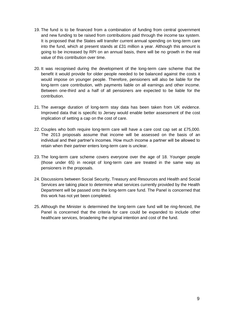- 19. The fund is to be financed from a combination of funding from central government and new funding to be raised from contributions paid through the income tax system. It is proposed that the States will transfer current annual spending on long-term care into the fund, which at present stands at £31 million a year. Although this amount is going to be increased by RPI on an annual basis, there will be no growth in the real value of this contribution over time.
- 20. It was recognised during the development of the long-term care scheme that the benefit it would provide for older people needed to be balanced against the costs it would impose on younger people. Therefore, pensioners will also be liable for the long-term care contribution, with payments liable on all earnings and other income. Between one-third and a half of all pensioners are expected to be liable for the contribution.
- 21. The average duration of long-term stay data has been taken from UK evidence. Improved data that is specific to Jersey would enable better assessment of the cost implication of setting a cap on the cost of care.
- 22. Couples who both require long-term care will have a care cost cap set at £75,000. The 2013 proposals assume that income will be assessed on the basis of an individual and their partner's incomes. How much income a partner will be allowed to retain when their partner enters long-term care is unclear.
- 23. The long-term care scheme covers everyone over the age of 18. Younger people (those under 65) in receipt of long-term care are treated in the same way as pensioners in the proposals.
- 24. Discussions between Social Security, Treasury and Resources and Health and Social Services are taking place to determine what services currently provided by the Health Department will be passed onto the long-term care fund. The Panel is concerned that this work has not yet been completed.
- 25. Although the Minister is determined the long-term care fund will be ring-fenced, the Panel is concerned that the criteria for care could be expanded to include other healthcare services, broadening the original intention and cost of the fund.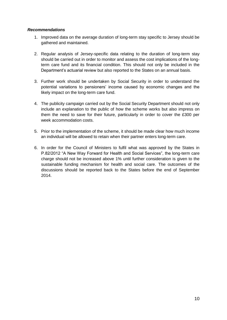### <span id="page-11-0"></span>*Recommendations*

- 1. Improved data on the average duration of long-term stay specific to Jersey should be gathered and maintained.
- 2. Regular analysis of Jersey-specific data relating to the duration of long-term stay should be carried out in order to monitor and assess the cost implications of the longterm care fund and its financial condition. This should not only be included in the Department's actuarial review but also reported to the States on an annual basis.
- 3. Further work should be undertaken by Social Security in order to understand the potential variations to pensioners' income caused by economic changes and the likely impact on the long-term care fund.
- 4. The publicity campaign carried out by the Social Security Department should not only include an explanation to the public of how the scheme works but also impress on them the need to save for their future, particularly in order to cover the £300 per week accommodation costs.
- 5. Prior to the implementation of the scheme, it should be made clear how much income an individual will be allowed to retain when their partner enters long-term care.
- 6. In order for the Council of Ministers to fulfil what was approved by the States in P.82/2012 "A New Way Forward for Health and Social Services", the long-term care charge should not be increased above 1% until further consideration is given to the sustainable funding mechanism for health and social care. The outcomes of the discussions should be reported back to the States before the end of September 2014.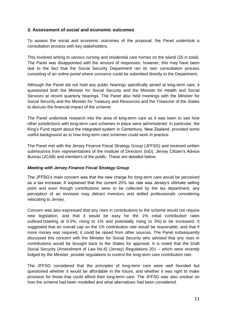### <span id="page-12-0"></span>**3. Assessment of social and economic outcomes**

To assess the social and economic outcomes of the proposal, the Panel undertook a consultation process with key stakeholders.

This involved writing to various nursing and residential care homes on the island (25 in total). The Panel was disappointed with the amount of responses, however, this may have been due to the fact that the Social Security Department ran its own consultation process consisting of an online portal where concerns could be submitted directly to the Department.

Although the Panel did not hold any public hearings specifically aimed at long-term care, it questioned both the Minister for Social Security and the Minister for Health and Social Services at recent quarterly hearings. The Panel also held meetings with the Minister for Social Security and the Minister for Treasury and Resources and the Treasurer of the States to discuss the financial impact of the scheme.

The Panel undertook research into the area of long-term care as it was keen to see how other jurisdictions with long-term care schemes in place were administered. In particular, the King's Fund report about the integrated system in Canterbury, New Zealand, provided some useful background as to how long-term care schemes could work in practice.

The Panel met with the Jersey Finance Fiscal Strategy Group (JFFSG) and received written submissions from representatives of the Institute of Directors (IoD), Jersey Citizen's Advice Bureau (JCAB) and members of the public. These are detailed below.

### <span id="page-12-1"></span>*Meeting with Jersey Finance Fiscal Strategy Group*

The JFFSG's main concern was that the new charge for long-term care would be perceived as a tax increase. It explained that the current 20% tax rate was Jersey's ultimate selling point and even though contributions were to be collected by the tax department, any perception of an increase may detract investors and skilled professionals considering relocating to Jersey.

Concern was also expressed that any rises in contributions to the scheme would not require new legislation, and that it would be easy for the 1% initial contribution rates outlined (starting at 0.5%, rising to 1% and potentially rising to 3%) to be increased. It suggested that an overall cap on the 1% contribution rate would be reasonable, and that if more money was required, it could be raised from other sources. The Panel subsequently discussed this concern with the Minister for Social Security who advised that any rises in contributions would be brought back to the States for approval. It is noted that the Draft Social Security (Amendment of Law No.6) (Jersey) Regulations 201 – which were recently lodged by the Minister, provide regulations to control the long-term care contribution rate.

The JFFSG considered that the principles of long-term care were well founded but questioned whether it would be affordable in the future, and whether it was right to make provision for those that could afford their long-term care. The JFFSG was also unclear on how the scheme had been modelled and what alternatives had been considered.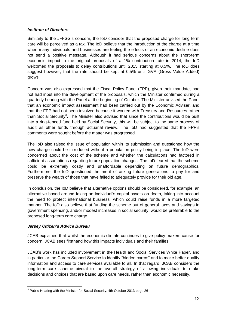### <span id="page-13-0"></span>*Institute of Directors*

Similarly to the JFFSG's concern, the IoD consider that the proposed charge for long-term care will be perceived as a tax. The IoD believe that the introduction of the charge at a time when many individuals and businesses are feeling the effects of an economic decline does not send a positive message. Although it had serious concerns about the short-term economic impact in the original proposals of a 1% contribution rate in 2014, the IoD welcomed the proposals to delay contributions until 2015 starting at 0.5%. The IoD does suggest however, that the rate should be kept at 0.5% until GVA (Gross Value Added) grows.

Concern was also expressed that the Fiscal Policy Panel (FPP), given their mandate, had not had input into the development of the proposals, which the Minister confirmed during a quarterly hearing with the Panel at the beginning of October. The Minister advised the Panel that an economic impact assessment had been carried out by the Economic Adviser, and that the FPP had not been involved because it worked with Treasury and Resources rather than Social Security<sup>3</sup>. The Minister also advised that since the contributions would be built into a ring-fenced fund held by Social Security, this will be subject to the same process of audit as other funds through actuarial review. The IoD had suggested that the FPP's comments were sought before the matter was progressed.

The IoD also raised the issue of population within its submission and questioned how the new charge could be introduced without a population policy being in place. The IoD were concerned about the cost of the scheme and whether the calculations had factored in sufficient assumptions regarding future population changes. The IoD feared that the scheme could be extremely costly and unaffordable depending on future demographics. Furthermore, the IoD questioned the merit of asking future generations to pay for and preserve the wealth of those that have failed to adequately provide for their old age.

In conclusion, the IoD believe that alternative options should be considered, for example, an alternative based around taxing an individual's capital assets on death, taking into account the need to protect international business, which could raise funds in a more targeted manner. The IoD also believe that funding the scheme out of general taxes and savings in government spending, and/or modest increases in social security, would be preferable to the proposed long-term care charge.

### <span id="page-13-1"></span>*Jersey Citizen's Advice Bureau*

1

JCAB explained that whilst the economic climate continues to give policy makers cause for concern, JCAB sees firsthand how this impacts individuals and their families.

JCAB's work has included involvement in the Health and Social Services White Paper, and in particular the Carers Support Service to identify "hidden carers" and to make better quality information and access to care services available to all. In that regard, JCAB considers the long-term care scheme pivotal to the overall strategy of allowing individuals to make decisions and choices that are based upon care needs, rather than economic necessity.

 $3$  Public Hearing with the Minister for Social Security, 4th October 2013 page 26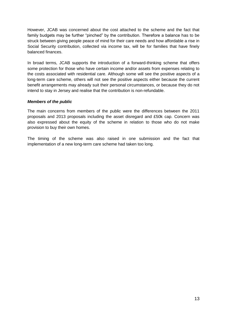However, JCAB was concerned about the cost attached to the scheme and the fact that family budgets may be further "pinched" by the contribution. Therefore a balance has to be struck between giving people peace of mind for their care needs and how affordable a rise in Social Security contribution, collected via income tax, will be for families that have finely balanced finances.

In broad terms, JCAB supports the introduction of a forward-thinking scheme that offers some protection for those who have certain income and/or assets from expenses relating to the costs associated with residential care. Although some will see the positive aspects of a long-term care scheme, others will not see the positive aspects either because the current benefit arrangements may already suit their personal circumstances, or because they do not intend to stay in Jersey and realise that the contribution is non-refundable.

### <span id="page-14-0"></span>*Members of the public*

The main concerns from members of the public were the differences between the 2011 proposals and 2013 proposals including the asset disregard and £50k cap. Concern was also expressed about the equity of the scheme in relation to those who do not make provision to buy their own homes.

The timing of the scheme was also raised in one submission and the fact that implementation of a new long-term care scheme had taken too long.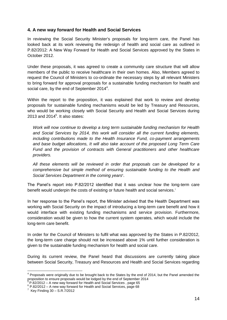### <span id="page-15-0"></span>**4. A new way forward for Health and Social Services**

In reviewing the Social Security Minister's proposals for long-term care, the Panel has looked back at its work reviewing the redesign of health and social care as outlined in P.82/2012: A New Way Forward for Health and Social Services approved by the States in October 2012.

Under these proposals, it was agreed to create a community care structure that will allow members of the public to receive healthcare in their own homes. Also, Members agreed to request the Council of Ministers to co-ordinate the necessary steps by all relevant Ministers to bring forward for approval proposals for a sustainable funding mechanism for health and social care, by the end of September 2014 $4$ .

Within the report to the proposition, it was explained that work to review and develop proposals for sustainable funding mechanisms would be led by Treasury and Resources, who would be working closely with Social Security and Health and Social Services during 2013 and  $2014<sup>5</sup>$ . It also states:

*Work will now continue to develop a long term sustainable funding mechanism for Health and Social Services by 2014, this work will consider all the current funding elements, including contributions made to the Health Insurance Fund, co-payment arrangements and base budget allocations, It will also take account of the proposed Long Term Care Fund and the provision of contracts with General practitioners and other healthcare providers.*

*All these elements will be reviewed in order that proposals can be developed for a comprehensive but simple method of ensuring sustainable funding to the Health and*  Social Services Department in the coming years<sup>6</sup>.

The Panel's report into P.82/2012 identified that it was unclear how the long-term care benefit would underpin the costs of existing or future health and social services.<sup>7</sup>

In her response to the Panel's report, the Minister advised that the Health Department was working with Social Security on the impact of introducing a long-term care benefit and how it would interface with existing funding mechanisms and service provision. Furthermore, consideration would be given to how the current system operates, which would include the long-term care benefit.

In order for the Council of Ministers to fulfil what was approved by the States in P.82/2012, the long-term care charge should not be increased above 1% until further consideration is given to the sustainable funding mechanism for health and social care.

During its current review, the Panel heard that discussions are currently taking place between Social Security, Treasury and Resources and Health and Social Services regarding

1

 $4$  Proposals were originally due to be brought back to the States by the end of 2014, but the Panel amended the proposition to ensure proposals would be lodged by the end of September 2014

P.82/2012 – A new way forward for Health and Social Services , page 65

<sup>6</sup> P.82/2012 – A new way forward for Health and Social Services, page 68

 $7$  Key Finding 30 – S.R.7/2012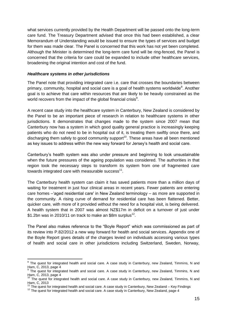what services currently provided by the Health Department will be passed onto the long-term care fund. The Treasury Department advised that once this had been established, a clear Memorandum of Understanding would be issued to ensure the types of services and budget for them was made clear. The Panel is concerned that this work has not yet been completed. Although the Minister is determined the long-term care fund will be ring-fenced, the Panel is concerned that the criteria for care could be expanded to include other healthcare services, broadening the original intention and cost of the fund.

### <span id="page-16-0"></span>*Healthcare systems in other jurisdictions*

The Panel note that providing integrated care i.e. care that crosses the boundaries between primary, community, hospital and social care is a goal of health systems worldwide<sup>8</sup>. Another goal is to achieve that care within resources that are likely to be heavily constrained as the world recovers from the impact of the global financial crisis<sup>9</sup>.

A recent case study into the healthcare system in Canterbury, New Zealand is considered by the Panel to be an important piece of research in relation to healthcare systems in other jurisdictions. It demonstrates that changes made to the system since 2007 mean that Canterbury now has a system in which good quality general practice is increasingly keeping patients who do not need to be in hospital out of it, is treating them swiftly once there, and discharging them safely to good community support<sup>10</sup>. These areas have all been mentioned as key issues to address within the new way forward for Jersey's health and social care.

Canterbury's health system was also under pressure and beginning to look unsustainable when the future pressures of the ageing population was considered. The authorities in that region took the necessary steps to transform its system from one of fragmented care towards integrated care with measurable success<sup>11</sup>.

The Canterbury health system can claim it has saved patients more than a million days of waiting for treatment in just four clinical areas in recent years. Fewer patients are entering care homes –'aged residential care' in New Zealand terminology – as more are supported in the community. A rising curve of demand for residential care has been flattened. Better, quicker care, with more of it provided without the need for a hospital visit, is being delivered. A health system that in 2007 was almost NZ\$17m in deficit on a turnover of just under \$1.2bn was in 2010/11 on track to make an \$8m surplus<sup>12</sup>.

The Panel also makes reference to the "Boyle Report" which was commissioned as part of its review into P.82/2012 a new way forward for health and social services. Appendix one of the Boyle Report gives details of the charges levied on individuals accessing various types of health and social care in other jurisdictions including Switzerland, Sweden, Norway,

 8 The quest for integrated health and social care. A case study in Canterbury, new Zealand, Timmins, N and Ham, C, 2013, page 4<br><sup>9</sup> The quest for integr

The quest for integrated health and social care. A case study in Canterbury, new Zealand, Timmins, N and Ham, C, 2013, page 4

 $10$  The quest for integrated health and social care. A case study in Canterbury, new Zealand, Timmins, N and Ham, C, 2013

The quest for integrated health and social care. A case study in Canterbury, New Zealand – Key Findings

<sup>&</sup>lt;sup>12</sup> The quest for integrated health and social care. A case study in Canterbury, New Zealand, page 4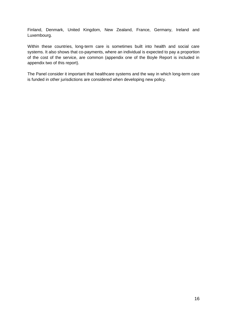Finland, Denmark, United Kingdom, New Zealand, France, Germany, Ireland and Luxembourg.

Within these countries, long-term care is sometimes built into health and social care systems. It also shows that co-payments, where an individual is expected to pay a proportion of the cost of the service, are common (appendix one of the Boyle Report is included in appendix two of this report).

The Panel consider it important that healthcare systems and the way in which long-term care is funded in other jurisdictions are considered when developing new policy.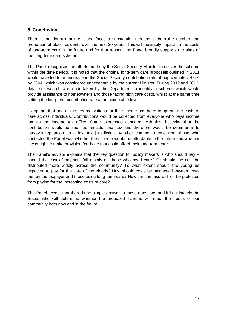### <span id="page-18-0"></span>**5. Conclusion**

There is no doubt that the Island faces a substantial increase in both the number and proportion of older residents over the next 30 years. This will inevitably impact on the costs of long-term care in the future and for that reason, the Panel broadly supports the aims of the long-term care scheme.

The Panel recognises the efforts made by the Social Security Minister to deliver the scheme within the time period. It is noted that the original long-term care proposals outlined in 2011 would have led to an increase in the Social Security contribution rate of approximately 4.6% by 2044, which was considered unacceptable by the current Minister. During 2012 and 2013, detailed research was undertaken by the Department to identify a scheme which would provide assistance to homeowners and those facing high care costs, whilst at the same time setting the long-term contribution rate at an acceptable level.

It appears that one of the key motivations for the scheme has been to spread the costs of care across individuals. Contributions would be collected from everyone who pays income tax via the income tax office. Some expressed concerns with this, believing that the contribution would be seen as an additional tax and therefore would be detrimental to Jersey's reputation as a low tax jurisdiction. Another common theme from those who contacted the Panel was whether the scheme would be affordable in the future and whether it was right to make provision for those that could afford their long-term care.

The Panel's advisor explains that the key question for policy makers is who should pay  $$ should the cost of payment fall mainly on those who need care? Or should the cost be distributed more widely across the community? To what extent should the young be expected to pay for the care of the elderly? How should costs be balanced between costs met by the taxpayer and those using long-term care? How can the less well-off be protected from paying for the increasing costs of care?

The Panel accept that there is no simple answer to these questions and it is ultimately the States who will determine whether the proposed scheme will meet the needs of our community both now and in the future.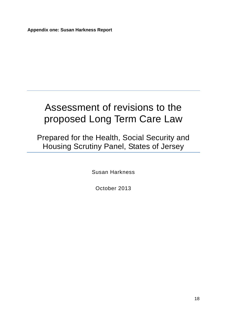<span id="page-19-0"></span>**Appendix one: Susan Harkness Report**

## Assessment of revisions to the proposed Long Term Care Law

Prepared for the Health, Social Security and Housing Scrutiny Panel, States of Jersey

Susan Harkness

October 2013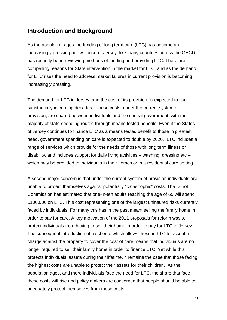### **Introduction and Background**

As the population ages the funding of long term care (LTC) has become an increasingly pressing policy concern. Jersey, like many countries across the OECD, has recently been reviewing methods of funding and providing LTC. There are compelling reasons for State intervention in the market for LTC, and as the demand for LTC rises the need to address market failures in current provision is becoming increasingly pressing.

The demand for LTC in Jersey, and the cost of its provision, is expected to rise substantially in coming decades. These costs, under the current system of provision, are shared between individuals and the central government, with the majority of state spending routed through means tested benefits. Even if the States of Jersey continues to finance LTC as a means tested benefit to those in greatest need, government spending on care is expected to double by 2026. LTC includes a range of services which provide for the needs of those with long term illness or disability, and includes support for daily living activities – washing, dressing etc – which may be provided to individuals in their homes or in a residential care setting.

A second major concern is that under the current system of provision individuals are unable to protect themselves against potentially "catastrophic" costs. The Dilnot Commission has estimated that one-in-ten adults reaching the age of 65 will spend £100,000 on LTC. This cost representing one of the largest uninsured risks currently faced by individuals. For many this has in the past meant selling the family home in order to pay for care. A key motivation of the 2011 proposals for reform was to protect individuals from having to sell their home in order to pay for LTC in Jersey. The subsequent introduction of a scheme which allows those in LTC to accept a charge against the property to cover the cost of care means that individuals are no longer required to sell their family home in order to finance LTC. Yet while this protects individuals' assets during their lifetime, it remains the case that those facing the highest costs are unable to protect their assets for their children. As the population ages, and more individuals face the need for LTC, the share that face these costs will rise and policy makers are concerned that people should be able to adequately protect themselves from these costs.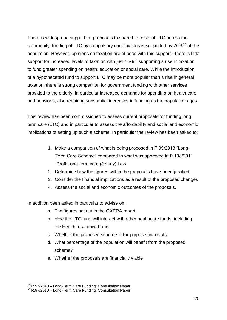There is widespread support for proposals to share the costs of LTC across the community: funding of LTC by compulsory contributions is supported by  $70\%$ <sup>13</sup> of the population. However, opinions on taxation are at odds with this support - there is little support for increased levels of taxation with just  $16\%$ <sup>14</sup> supporting a rise in taxation to fund greater spending on health, education or social care. While the introduction of a hypothecated fund to support LTC may be more popular than a rise in general taxation, there is strong competition for government funding with other services provided to the elderly, in particular increased demands for spending on health care and pensions, also requiring substantial increases in funding as the population ages.

This review has been commissioned to assess current proposals for funding long term care (LTC) and in particular to assess the affordability and social and economic implications of setting up such a scheme. In particular the review has been asked to:

- 1. Make a comparison of what is being proposed in P.99/2013 "Long-Term Care Scheme" compared to what was approved in P.108/2011 "Draft Long-term care (Jersey) Law
- 2. Determine how the figures within the proposals have been justified
- 3. Consider the financial implications as a result of the proposed changes
- 4. Assess the social and economic outcomes of the proposals.

In addition been asked in particular to advise on:

- a. The figures set out in the OXERA report
- b. How the LTC fund will interact with other healthcare funds, including the Health Insurance Fund
- c. Whether the proposed scheme fit for purpose financially
- d. What percentage of the population will benefit from the proposed scheme?
- e. Whether the proposals are financially viable

<sup>1</sup>  $13$  R.97/2010 – Long-Term Care Funding: Consultation Paper

<sup>&</sup>lt;sup>14</sup> R.97/2010 – Long-Term Care Funding: Consultation Paper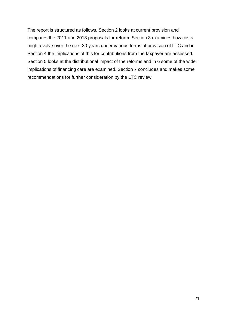The report is structured as follows. Section 2 looks at current provision and compares the 2011 and 2013 proposals for reform. Section 3 examines how costs might evolve over the next 30 years under various forms of provision of LTC and in Section 4 the implications of this for contributions from the taxpayer are assessed. Section 5 looks at the distributional impact of the reforms and in 6 some of the wider implications of financing care are examined. Section 7 concludes and makes some recommendations for further consideration by the LTC review.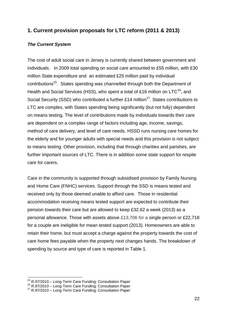### **1. Current provision proposals for LTC reform (2011 & 2013)**

### *The Current System*

The cost of adult social care in Jersey is currently shared between government and individuals. In 2009 total spending on social care amounted to £55 million, with £30 million State expenditure and an estimated £25 million paid by individual contributions<sup>15</sup>. States spending was channelled through both the Department of Health and Social Services (HSS), who spent a total of £16 million on LTC<sup>16</sup>, and Social Security (SSD) who contributed a further  $£14$  million<sup>17</sup>. States contributions to LTC are complex, with States spending being significantly (but not fully) dependent on means testing. The level of contributions made by individuals towards their care are dependent on a complex range of factors including age, income, savings, method of care delivery, and level of care needs. HSSD runs nursing care homes for the elderly and for younger adults with special needs and this provision is not subject to means testing. Other provision, including that through charities and parishes, are further important sources of LTC. There is in addition some state support for respite care for carers.

Care in the community is supported through subsidised provision by Family Nursing and Home Care (FNHC) services. Support through the SSD is means tested and received only by those deemed unable to afford care. Those in residential accommodation receiving means tested support are expected to contribute their pension towards their care but are allowed to keep £32.62 a week (2013) as a personal allowance. Those with assets above £13,706 for a single person or £22,718 for a couple are ineligible for mean tested support (2013). Homeowners are able to retain their home, but must accept a charge against the property towards the cost of care home fees payable when the property next changes hands. The breakdown of spending by source and type of care is reported in Table 1.

<u>.</u>

<sup>&</sup>lt;sup>15</sup> R.97/2010 – Long-Term Care Funding: Consultation Paper

<sup>&</sup>lt;sup>16</sup> R.97/2010 – Long-Term Care Funding: Consultation Paper

<sup>&</sup>lt;sup>17</sup> R.97/2010 – Long-Term Care Funding: Consultation Paper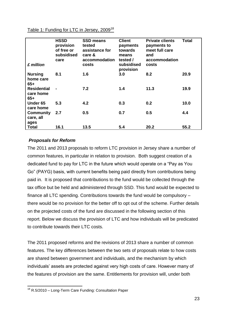|  | Table 1: Funding for LTC in Jersey, 2009 <sup>18</sup> |
|--|--------------------------------------------------------|
|  |                                                        |

| £ million                              | <b>HSSD</b><br>provision<br>of free or<br>subsidised<br>care | <b>SSD means</b><br>tested<br>assistance for<br>care &<br>accommodation<br>costs | <b>Client</b><br>payments<br>towards<br>means<br>tested /<br>subsidised<br>provision | <b>Private clients</b><br>payments to<br>meet full care<br>and<br>accommodation<br>costs | <b>Total</b> |
|----------------------------------------|--------------------------------------------------------------|----------------------------------------------------------------------------------|--------------------------------------------------------------------------------------|------------------------------------------------------------------------------------------|--------------|
| <b>Nursing</b><br>home care<br>$65+$   | 8.1                                                          | 1.6                                                                              | 3.0                                                                                  | 8.2                                                                                      | 20.9         |
| <b>Residential</b><br>care home<br>65+ |                                                              | 7.2                                                                              | 1.4                                                                                  | 11.3                                                                                     | 19.9         |
| Under 65<br>care home                  | 5.3                                                          | 4.2                                                                              | 0.3                                                                                  | 0.2                                                                                      | 10.0         |
| <b>Community</b><br>care, all<br>ages  | 2.7                                                          | 0.5                                                                              | 0.7                                                                                  | 0.5                                                                                      | 4.4          |
| <b>Total</b>                           | 16.1                                                         | 13.5                                                                             | 5.4                                                                                  | 20.2                                                                                     | 55.2         |

### *Proposals for Reform*

The 2011 and 2013 proposals to reform LTC provision in Jersey share a number of common features, in particular in relation to provision. Both suggest creation of a dedicated fund to pay for LTC in the future which would operate on a "Pay as You Go" (PAYG) basis, with current benefits being paid directly from contributions being paid in. It is proposed that contributions to the fund would be collected through the tax office but be held and administered through SSD. This fund would be expected to finance all LTC spending. Contributions towards the fund would be compulsory – there would be no provision for the better off to opt out of the scheme. Further details on the projected costs of the fund are discussed in the following section of this report. Below we discuss the provision of LTC and how individuals will be predicated to contribute towards their LTC costs.

The 2011 proposed reforms and the revisions of 2013 share a number of common features. The key differences between the two sets of proposals relate to how costs are shared between government and individuals, and the mechanism by which individuals' assets are protected against very high costs of care. However many of the features of provision are the same. Entitlements for provision will, under both

<sup>1</sup> <sup>18</sup> R.5/2010 – Long-Term Care Funding: Consultation Paper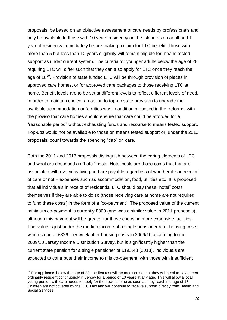proposals, be based on an objective assessment of care needs by professionals and only be available to those with 10 years residency on the Island as an adult and 1 year of residency immediately before making a claim for LTC benefit. Those with more than 5 but less than 10 years eligibility will remain eligible for means tested support as under current system. The criteria for younger adults below the age of 28 requiring LTC will differ such that they can also apply for LTC once they reach the age of 18<sup>19</sup>. Provision of state funded LTC will be through provision of places in approved care homes, or for approved care packages to those receiving LTC at home. Benefit levels are to be set at different levels to reflect different levels of need. In order to maintain choice, an option to top-up state provision to upgrade the available accommodation or facilities was in addition proposed in the reforms, with the proviso that care homes should ensure that care could be afforded for a "reasonable period" without exhausting funds and recourse to means tested support. Top-ups would not be available to those on means tested support or, under the 2013 proposals, count towards the spending "cap" on care.

Both the 2011 and 2013 proposals distinguish between the caring elements of LTC and what are described as "hotel" costs. Hotel costs are those costs that that are associated with everyday living and are payable regardless of whether it is in receipt of care or not – expenses such as accommodation, food, utilities etc. It is proposed that all individuals in receipt of residential LTC should pay these "hotel" costs themselves if they are able to do so (those receiving care at home are not required to fund these costs) in the form of a "co-payment". The proposed value of the current minimum co-payment is currently £300 (and was a similar value in 2011 proposals), although this payment will be greater for those choosing more expensive facilities. This value is just under the median income of a single pensioner after housing costs, which stood at £326 per week after housing costs in 2009/10 according to the 2009/10 Jersey Income Distribution Survey, but is significantly higher than the current state pension for a single pensioner of £193.48 (2013). Individuals are expected to contribute their income to this co-payment, with those with insufficient

<u>.</u>

 $19$  For applicants below the age of 28, the first test will be modified so that they will need to have been ordinarily resident continuously in Jersey for a period of 10 years at any age. This will allow a local young person with care needs to apply for the new scheme as soon as they reach the age of 18. Children are not covered by the LTC Law and will continue to receive support directly from Health and Social Services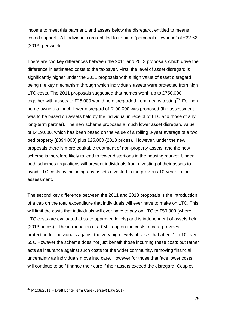income to meet this payment, and assets below the disregard, entitled to means tested support. All individuals are entitled to retain a "personal allowance" of £32.62 (2013) per week.

There are two key differences between the 2011 and 2013 proposals which drive the difference in estimated costs to the taxpayer. First, the level of asset disregard is significantly higher under the 2011 proposals with a high value of asset disregard being the key mechanism through which individuals assets were protected from high LTC costs. The 2011 proposals suggested that homes worth up to £750,000, together with assets to £25,000 would be disregarded from means testing<sup>20</sup>. For non home-owners a much lower disregard of £100,000 was proposed (the assessment was to be based on assets held by the individual in receipt of LTC and those of any long-term partner). The new scheme proposes a much lower asset disregard value of £419,000, which has been based on the value of a rolling 3-year average of a two bed property (£394,000) plus £25,000 (2013 prices). However, under the new proposals there is more equitable treatment of non-property assets, and the new scheme is therefore likely to lead to fewer distortions in the housing market. Under both schemes regulations will prevent individuals from divesting of their assets to avoid LTC costs by including any assets divested in the previous 10-years in the assessment.

The second key difference between the 2011 and 2013 proposals is the introduction of a cap on the total expenditure that individuals will ever have to make on LTC. This will limit the costs that individuals will ever have to pay on LTC to £50,000 (where LTC costs are evaluated at state approved levels) and is independent of assets held (2013 prices). The introduction of a £50k cap on the costs of care provides protection for individuals against the very high levels of costs that affect 1 in 10 over 65s. However the scheme does not just benefit those incurring these costs but rather acts as insurance against such costs for the wider community, removing financial uncertainty as individuals move into care. However for those that face lower costs will continue to self finance their care if their assets exceed the disregard. Couples

1

 $^{20}$  P.108/2011 – Draft Long-Term Care (Jersey) Law 201-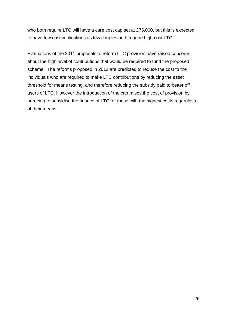who both require LTC will have a care cost cap set at £75,000, but this is expected to have few cost implications as few couples both require high cost LTC.

Evaluations of the 2011 proposals to reform LTC provision have raised concerns about the high level of contributions that would be required to fund the proposed scheme. The reforms proposed in 2013 are predicted to reduce the cost to the individuals who are required to make LTC contributions by reducing the asset threshold for means testing, and therefore reducing the subsidy paid to better off users of LTC. However the introduction of the cap raises the cost of provision by agreeing to subsidise the finance of LTC for those with the highest costs regardless of their means.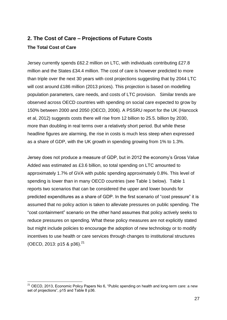### **2. The Cost of Care – Projections of Future Costs The Total Cost of Care**

Jersey currently spends £62.2 million on LTC, with individuals contributing £27.8 million and the States £34.4 million. The cost of care is however predicted to more than triple over the next 30 years with cost projections suggesting that by 2044 LTC will cost around £186 million (2013 prices). This projection is based on modelling population parameters, care needs, and costs of LTC provision. Similar trends are observed across OECD countries with spending on social care expected to grow by 150% between 2000 and 2050 (OECD, 2006). A PSSRU report for the UK (Hancock et al, 2012) suggests costs there will rise from 12 billion to 25.5. billion by 2030, more than doubling in real terms over a relatively short period. But while these headline figures are alarming, the rise in costs is much less steep when expressed as a share of GDP, with the UK growth in spending growing from 1% to 1.3%.

Jersey does not produce a measure of GDP, but in 2012 the economy's Gross Value Added was estimated as £3.6 billion, so total spending on LTC amounted to approximately 1.7% of GVA with public spending approximately 0.8%. This level of spending is lower than in many OECD countries (see Table 1 below). Table 1 reports two scenarios that can be considered the upper and lower bounds for predicted expenditures as a share of GDP. In the first scenario of "cost pressure" it is assumed that no policy action is taken to alleviate pressures on public spending. The "cost containment" scenario on the other hand assumes that policy actively seeks to reduce pressures on spending. What these policy measures are not explicitly stated but might include policies to encourage the adoption of new technology or to modify incentives to use health or care services through changes to institutional structures (OECD, 2013: p15 & p36).<sup>21</sup>

1

 $21$  OECD, 2013, Economic Policy Papers No 6, "Public spending on health and long-term care: a new set of projections", p15 and Table 8 p36.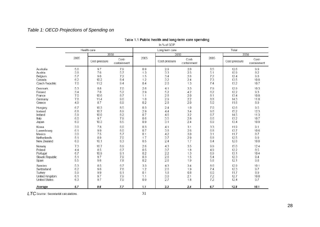### *Table 1: OECD Projections of Spending on*

#### Table 1.1 Public health and long-term care spending

In % of GDP

|                      |      | Health care   |                      |      | Long term care |                      |      | Total         |                      |
|----------------------|------|---------------|----------------------|------|----------------|----------------------|------|---------------|----------------------|
|                      |      | 2050          |                      |      | 2050           |                      |      | 2050          |                      |
|                      | 2005 | Cost-pressure | Cost-<br>containment | 2005 | Cost-pressure  | Cost-<br>containment | 2005 | Cost-pressure | Cost-<br>containment |
| Australia            | 5.6  | 9.7           | 7.9                  | 0.9  | 2.9            | 2.0                  | 6.5  | 12.6          | 9.9                  |
| Austria              | 3.8  | 7.6           | 5.7                  | 1.3  | 3.3            | 2.5                  | 5.1  | 10.9          | 8.2                  |
| Belgium              | 5.7  | 9.0           | 7.2                  | 1.5  | 3.4            | 2.6                  | 7.2  | 12.4          | 9.8                  |
| Canada               | 6.2  | 10.2          | 8.4                  | 1.2  | 3.2            | 2.4                  | 7.3  | 13.5          | 10.8                 |
| Czech Republic       | 7.0  | 11.2          | 9.4                  | 0.4  | 2.0            | 1.3                  | 7.4  | 13.2          | 10.7                 |
| Denmark              | 5.3  | 8.8           | 7.0                  | 2.6  | 4.1            | 3.3                  | 7.9  | 12.9          | 10.3                 |
| Finland              | 3.4  | 7.0           | 5.2                  | 2.9  | 5.2            | 4.2                  | 6.2  | 12.2          | 9.3                  |
| France               | 7.0  | 10.6          | 8.7                  | 1.1  | 2.8            | 2.0                  | 8.1  | 13.4          | 10.8                 |
| Germany              | 7.8  | 11.4          | 9.6                  | 1.0  | 2.9            | 2.2                  | 8.8  | 14.3          | 11.8                 |
| Greece               | 4.9  | 8.7           | 6.9                  | 0.2  | 2.8            | 2.0                  | 5.0  | 11.6          | 8.9                  |
| Hungary              | 6.7  | 10.3          | 8.5                  | 0.3  | 2.4            | 1.0                  | 7.0  | 12.6          | 9.5                  |
| Iceland              | 6.8  | 10.7          | 8.9                  | 2.9  | 4.4            | 3.4                  | 9.6  | 15.2          | 12.3                 |
| Ireland              | 5.9  | 10.0          | 8.2                  | 0.7  | 4.6            | 3.2                  | 6.7  | 14.5          | 11.3                 |
| Italy                | 6.0  | 9.7           | 7.9                  | 0.6  | 3.5            | 2.8                  | 6.6  | 13.2          | 10.7                 |
| Japan                | 6.0  | 10.3          | 8.5                  | 0.9  | 3.1            | 2.4                  | 6.9  | 13.4          | 10.9                 |
| Korea                | 3.0  | 7.8           | 6.0                  | 0.3  | 4.1            | 3.1                  | 3.3  | 11.9          | 9.1                  |
| Luxembourg           | 6.1  | 9.9           | 8.0                  | 0.7  | 3.8            | 2.6                  | 6.8  | 13.7          | 10.6                 |
| Mexico               | 3.0  | 7.5           | 5.7                  | 0.1  | 4.2            | 3.0                  | 3.1  | 11.7          | 8.7                  |
| Netherlands          | 5.1  | 8.9           | 7.0                  | 1.7  | 3.7            | 2.9                  | 6.8  | 12.5          | 9.9                  |
| New Zealand          | 6.0  | 10.1          | 8.3                  | 0.5  | 2.4            | 1.7                  | 6.4  | 12.6          | 10.0                 |
| Norway               | 7.3  | 10.7          | 8.9                  | 2.6  | 4.3            | 3.5                  | 9.9  | 15.0          | 12.4                 |
| Poland               | 4.4  | 8.5           | 6.7                  | 0.5  | 3.7            | 1.8                  | 4.9  | 12.2          | 8.5                  |
| Portugal             | 6.7  | 10.9          | 9.1                  | 0.2  | 2.2            | 1.3                  | 6.9  | 13.1          | 10.4                 |
| Slovak Republic      | 5.1  | 9.7           | 7.9                  | 0.3  | 2.6            | 1.5                  | 5.4  | 12.3          | 9.4                  |
| Spain                | 5.5  | 9.6           | 7.8                  | 0.2  | 2.6            | 1.9                  | 5.6  | 12.1          | 9.6                  |
| Sweden               | 5.3  | 8.5           | 6.7                  | 3.3  | 4.3            | 3.4                  | 8.6  | 12.9          | 10.1                 |
| Switzerland          | 6.2  | 9.6           | 7.8                  | 1.2  | 2.6            | 1.9                  | 7.4  | 12.3          | 9.7                  |
| Turkey               | 5.9  | 9.9           | 8.1                  | 0.1  | 1.8            | 0.8                  | 6.0  | 11.7          | 8.9                  |
| United Kingdom       | 6.1  | 9.7           | 7.9                  | 1.1  | 3.0            | 2.1                  | 7.2  | 12.7          | 10.0                 |
| <b>United States</b> | 6.3  | 9.7           | 7.9                  | 0.9  | 2.7            | 1.8                  | 7.2  | 12.4          | 9.7                  |
| Average              | 5.7  | 9.6           | 7.7                  | 1.1  | 3.3            | 2.4                  | 6.7  | 12.8          | 10.1                 |

**LTC** Source: Secretariat calculations.

 $31$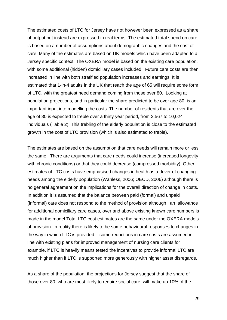The estimated costs of LTC for Jersey have not however been expressed as a share of output but instead are expressed in real terms. The estimated total spend on care is based on a number of assumptions about demographic changes and the cost of care. Many of the estimates are based on UK models which have been adapted to a Jersey specific context. The OXERA model is based on the existing care population, with some additional (hidden) domiciliary cases included. Future care costs are then increased in line with both stratified population increases and earnings. It is estimated that 1-in-4 adults in the UK that reach the age of 65 will require some form of LTC, with the greatest need demand coming from those over 80. Looking at population projections, and in particular the share predicted to be over age 80, is an important input into modelling the costs. The number of residents that are over the age of 80 is expected to treble over a thirty year period, from 3,567 to 10,024 individuals (Table 2). This trebling of the elderly population is close to the estimated growth in the cost of LTC provision (which is also estimated to treble).

The estimates are based on the assumption that care needs will remain more or less the same. There are arguments that care needs could increase (increased longevity with chronic conditions) or that they could decrease (compressed morbidity). Other estimates of LTC costs have emphasised changes in health as a driver of changing needs among the elderly population (Wanless, 2006; OECD, 2006) although there is no general agreement on the implications for the overall direction of change in costs. In addition it is assumed that the balance between paid (formal) and unpaid (informal) care does not respond to the method of provision although , an allowance for additional domiciliary care cases, over and above existing known care numbers is made in the model Total LTC cost estimates are the same under the OXERA models of provision. In reality there is likely to be some behavioural responses to changes in the way in which LTC is provided – some reductions in care costs are assumed in line with existing plans for improved management of nursing care clients for example, if LTC is heavily means tested the incentives to provide informal LTC are much higher than if LTC is supported more generously with higher asset disregards.

As a share of the population, the projections for Jersey suggest that the share of those over 80, who are most likely to require social care, will make up 10% of the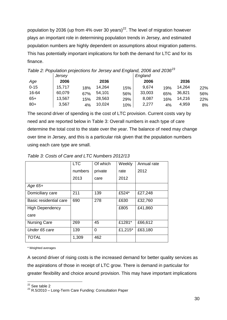population by 2036 (up from 4% over 30 years)<sup>22</sup>. The level of migration however plays an important role in determining population trends in Jersey, and estimated population numbers are highly dependent on assumptions about migration patterns. This has potentially important implications for both the demand for LTC and for its finance.

|          | Jersey |     |        | ີ   | England |     |        |     |
|----------|--------|-----|--------|-----|---------|-----|--------|-----|
| Age      | 2006   |     | 2036   |     | 2006    |     | 2036   |     |
| $0 - 15$ | 15,717 | 18% | 14,264 | 15% | 9,674   | 19% | 14,264 | 22% |
| 16-64    | 60,079 | 67% | 54,101 | 56% | 33,003  | 65% | 36,821 | 56% |
| $65+$    | 13,567 | 15% | 28,563 | 29% | 8,087   | 16% | 14,216 | 22% |
| $80+$    | 3,567  | 4%  | 10,024 | 10% | 2,277   | 4%  | 4,959  | 8%  |

*Table 2: Population projections for Jersey and England, 2006 and 2036<sup>23</sup>*

The second driver of spending is the cost of LTC provision. Current costs vary by need and are reported below in Table 3: Overall numbers in each type of care determine the total cost to the state over the year. The balance of need may change over time in Jersey, and this is a particular risk given that the population numbers using each care type are small.

|                        | <b>LTC</b> | Of which | Weekly  | Annual rate |
|------------------------|------------|----------|---------|-------------|
|                        | numbers    | private  | rate    | 2012        |
|                        | 2013       | care     | 2012    |             |
| $Age 65+$              |            |          |         |             |
| Domiciliary care       | 211        | 139      | £524*   | £27,248     |
| Basic residential care | 690        | 278      | £630    | £32,760     |
| <b>High Dependency</b> |            |          | £805    | £41,860     |
| care                   |            |          |         |             |
| <b>Nursing Care</b>    | 269        | 45       | £1281*  | £66,612     |
| Under 65 care          | 139        | 0        | £1,215* | £63,180     |
| <b>TOTAL</b>           | 1,309      | 462      |         |             |

*Table 3: Costs of Care and LTC Numbers 2012/13*

\* Weighted averages

A second driver of rising costs is the increased demand for better quality services as the aspirations of those in receipt of LTC grow. There is demand in particular for greater flexibility and choice around provision. This may have important implications

1  $22$  See table 2

 $^{23}$  R.5/2010 – Long-Term Care Funding: Consultation Paper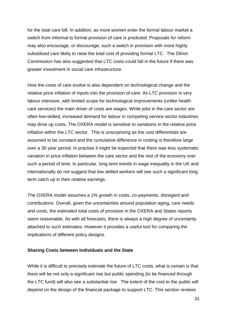for the total care bill. In addition, as more women enter the formal labour market a switch from informal to formal provision of care is predicted. Proposals for reform may also encourage, or discourage, such a switch in provision with more highly subsidised care likely to raise the total cost of providing formal LTC. The Dilnot Commission has also suggested that LTC costs could fall in the future if there was greater investment in social care infrastructure.

How the costs of care evolve is also dependent on technological change and the relative price inflation of inputs into the provision of care. As LTC provision is very labour intensive, with limited scope for technological improvements (unlike health care services) the main driver of costs are wages. While jobs in the care sector are often low-skilled, increased demand for labour in competing service sector industries may drive up costs. The OXERA model is sensitive to variations in the relative price inflation within the LTC sector. This is unsurprising as the cost differentials are assumed to be constant and the cumulative difference in costing is therefore large over a 30 year period. In practise it might be expected that there was less systematic variation in price inflation between the care sector and the rest of the economy over such a period of time. In particular, long term trends in wage inequality in the UK and internationally do not suggest that low skilled workers will see such a significant long term catch up in their relative earnings.

The OXERA model assumes a 1% growth in costs, co-payments, disregard and contributions. Overall, given the uncertainties around population aging, care needs and costs, the estimated total costs of provision in the OXERA and States reports seem reasonable. As with all forecasts, there is always a high degree of uncertainty attached to such estimates. However it provides a useful tool for comparing the implications of different policy designs.

### **Sharing Costs between Individuals and the State**

While it is difficult to precisely estimate the future of LTC costs, what is certain is that there will be not only a significant rise but public spending (to be financed through the LTC fund) will also see a substantial rise. The extent of the cost to the public will depend on the design of the financial package to support LTC. This section reviews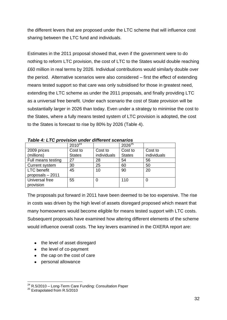the different levers that are proposed under the LTC scheme that will influence cost sharing between the LTC fund and individuals.

Estimates in the 2011 proposal showed that, even if the government were to do nothing to reform LTC provision, the cost of LTC to the States would double reaching £60 million in real terms by 2026. Individual contributions would similarly double over the period. Alternative scenarios were also considered – first the effect of extending means tested support so that care was only subsidised for those in greatest need, extending the LTC scheme as under the 2011 proposals, and finally providing LTC as a universal free benefit. Under each scenario the cost of State provision will be substantially larger in 2026 than today. Even under a strategy to minimise the cost to the States, where a fully means tested system of LTC provision is adopted, the cost to the States is forecast to rise by 80% by 2026 (Table 4).

|                       | <u>rapid 7. ETU prunsium amacı umchun suchamus</u> |             |               |             |  |  |  |  |  |
|-----------------------|----------------------------------------------------|-------------|---------------|-------------|--|--|--|--|--|
|                       | $2010^{24}$                                        |             | $2026^{25}$   |             |  |  |  |  |  |
| 2009 prices           | Cost to                                            | Cost to     | Cost to       | Cost to     |  |  |  |  |  |
| (millions)            | <b>States</b>                                      | individuals | <b>States</b> | individuals |  |  |  |  |  |
| Full means testing    | 27                                                 | 28          | 54            | 56          |  |  |  |  |  |
| <b>Current system</b> | 30                                                 | 25          | 60            | 50          |  |  |  |  |  |
| <b>LTC</b> benefit    | 45                                                 | 10          | 90            | 20          |  |  |  |  |  |
| proposals - 2011      |                                                    |             |               |             |  |  |  |  |  |
| Universal free        | 55                                                 | 0           | 110           | 0           |  |  |  |  |  |
| provision             |                                                    |             |               |             |  |  |  |  |  |

*Table 4: LTC provision under different scenarios* 

The proposals put forward in 2011 have been deemed to be too expensive. The rise in costs was driven by the high level of assets disregard proposed which meant that many homeowners would become eligible for means tested support with LTC costs. Subsequent proposals have examined how altering different elements of the scheme would influence overall costs. The key levers examined in the OXERA report are:

- the level of asset disregard
- the level of co-payment
- the cap on the cost of care
- personal allowance

<sup>1</sup>  $24$  R.5/2010 – Long-Term Care Funding: Consultation Paper

 $25$  Extrapolated from R.5/2010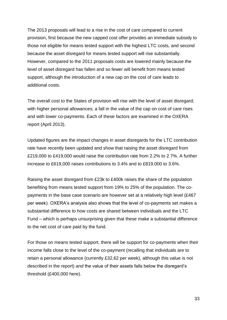The 2013 proposals will lead to a rise in the cost of care compared to current provision, first because the new capped cost offer provides an immediate subsidy to those not eligible for means tested support with the highest LTC costs, and second because the asset disregard for means tested support will rise substantially. However, compared to the 2011 proposals costs are lowered mainly because the level of asset disregard has fallen and so fewer will benefit from means tested support, although the introduction of a new cap on the cost of care leads to additional costs.

The overall cost to the States of provision will rise with the level of asset disregard; with higher personal allowances; a fall in the value of the cap on cost of care rises and with lower co-payments. Each of these factors are examined in the OXERA report (April 2013).

Updated figures are the impact changes in asset disregards for the LTC contribution rate have recently been updated and show that raising the asset disregard from £219,000 to £419,000 would raise the contribution rate from 2.2% to 2.7%. A further increase to £619,000 raises contributions to 3.4% and to £819,000 to 3.6%.

Raising the asset disregard from £23k to £400k raises the share of the population benefiting from means tested support from 19% to 25% of the population. The copayments in the base case scenario are however set at a relatively high level (£467 per week). OXERA's analysis also shows that the level of co-payments set makes a substantial difference to how costs are shared between individuals and the LTC Fund – which is perhaps unsurprising given that these make a substantial difference to the net cost of care paid by the fund.

For those on means tested support, there will be support for co-payments when their income falls close to the level of the co-payment (recalling that individuals are to retain a personal allowance (currently £32,62 per week), although this value is not described in the report) *and* the value of their assets falls below the disregard's threshold (£400,000 here).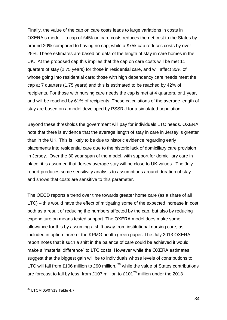Finally, the value of the cap on care costs leads to large variations in costs in OXERA's model – a cap of £45k on care costs reduces the net cost to the States by around 20% compared to having no cap; while a £75k cap reduces costs by over 25%. These estimates are based on data of the length of stay in care homes in the UK. At the proposed cap this implies that the cap on care costs will be met 11 quarters of stay (2.75 years) for those in residential care, and will affect 35% of whose going into residential care; those with high dependency care needs meet the cap at 7 quarters (1.75 years) and this is estimated to be reached by 42% of recipients. For those with nursing care needs the cap is met at 4 quarters, or 1 year, and will be reached by 61% of recipients. These calculations of the average length of stay are based on a model developed by PSSRU for a simulated population.

Beyond these thresholds the government will pay for individuals LTC needs. OXERA note that there is evidence that the average length of stay in care in Jersey is greater than in the UK. This is likely to be due to historic evidence regarding early placements into residential care due to the historic lack of domiciliary care provision in Jersey. Over the 30 year span of the model, with support for domiciliary care in place, it is assumed that Jersey average stay will be close to UK values.. The July report produces some sensitivity analysis to assumptions around duration of stay and shows that costs are sensitive to this parameter.

The OECD reports a trend over time towards greater home care (as a share of all LTC) – this would have the effect of mitigating some of the expected increase in cost both as a result of reducing the numbers affected by the cap, but also by reducing expenditure on means tested support. The OXERA model does make some allowance for this by assuming a shift away from institutional nursing care, as included in option three of the KPMG health green paper. The July 2013 OXERA report notes that if such a shift in the balance of care could be achieved it would make a "material difference" to LTC costs. However while the OXERA estimates suggest that the biggest gain will be to individuals whose levels of contributions to LTC will fall from £106 million to £90 million,  $^{26}$  while the value of States contributions are forecast to fall by less, from £107 million to £101<sup>[26](#page-35-0)</sup> million under the 2013

<span id="page-35-0"></span>1

<sup>&</sup>lt;sup>26</sup> LTCM 05/07/13 Table 4.7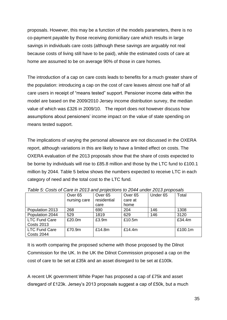proposals. However, this may be a function of the models parameters, there is no co-payment payable by those receiving domiciliary care which results in large savings in individuals care costs (although these savings are arguably not real because costs of living still have to be paid), while the estimated costs of care at home are assumed to be on average 90% of those in care homes.

The introduction of a cap on care costs leads to benefits for a much greater share of the population: introducing a cap on the cost of care leaves almost one half of all care users in receipt of "means tested" support. Pensioner income data within the model are based on the 2009/2010 Jersey income distribution survey, the median value of which was £326 in 2009/10. The report does not however discuss how assumptions about pensioners' income impact on the value of state spending on means tested support.

The implications of varying the personal allowance are not discussed in the OXERA report, although variations in this are likely to have a limited effect on costs. The OXERA evaluation of the 2013 proposals show that the share of costs expected to be borne by individuals will rise to £85.8 million and those by the LTC fund to £100.1 million by 2044. Table 5 below shows the numbers expected to receive LTC in each category of need and the total cost to the LTC fund.

|                      | Over <sub>65</sub> | Over <sub>65</sub> | Over <sub>65</sub> | Under 65 | Total   |  |  |  |  |
|----------------------|--------------------|--------------------|--------------------|----------|---------|--|--|--|--|
|                      | nursing care       | residential        | care at            |          |         |  |  |  |  |
|                      |                    | care               | home               |          |         |  |  |  |  |
| Population 2013      | 268                | 690                | 204                | 146      | 1308    |  |  |  |  |
| Population 2044      | 529                | 1819               | 629                | 146      | 3120    |  |  |  |  |
| <b>LTC Fund Care</b> | £20.0m             | £3.9m              | £10.5m             |          | £34.4m  |  |  |  |  |
| <b>Costs 2013</b>    |                    |                    |                    |          |         |  |  |  |  |
| <b>LTC Fund Care</b> | £70.9m             | £14.8m             | £14.4 $m$          |          | £100.1m |  |  |  |  |
| Costs 2044           |                    |                    |                    |          |         |  |  |  |  |

*Table 5: Costs of Care in 2013 and projections to 2044 under 2013 proposals*

It is worth comparing the proposed scheme with those proposed by the Dilnot Commission for the UK. In the UK the Dilnot Commission proposed a cap on the cost of care to be set at £35k and an asset disregard to be set at £100k.

A recent UK government White Paper has proposed a cap of £75k and asset disregard of £123k. Jersey's 2013 proposals suggest a cap of £50k, but a much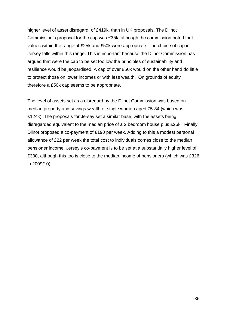higher level of asset disregard, of £419k, than in UK proposals. The Dilnot Commission's proposal for the cap was £35k, although the commission noted that values within the range of £25k and £50k were appropriate. The choice of cap in Jersey falls within this range. This is important because the Dilnot Commission has argued that were the cap to be set too low the principles of sustainability and resilience would be jeopardised. A cap of over £50k would on the other hand do little to protect those on lower incomes or with less wealth. On grounds of equity therefore a £50k cap seems to be appropriate.

The level of assets set as a disregard by the Dilnot Commission was based on median property and savings wealth of single women aged 75-84 (which was £124k). The proposals for Jersey set a similar base, with the assets being disregarded equivalent to the median price of a 2 bedroom house plus £25k. Finally, Dilnot proposed a co-payment of £190 per week. Adding to this a modest personal allowance of £22 per week the total cost to individuals comes close to the median pensioner income. Jersey's co-payment is to be set at a substantially higher level of £300, although this too is close to the median income of pensioners (which was £326 in 2009/10).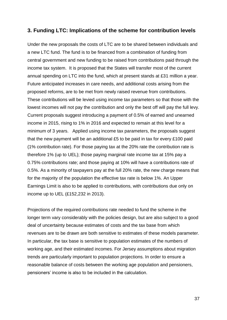### **3. Funding LTC: Implications of the scheme for contribution levels**

Under the new proposals the costs of LTC are to be shared between individuals and a new LTC fund. The fund is to be financed from a combination of funding from central government and new funding to be raised from contributions paid through the income tax system. It is proposed that the States will transfer most of the current annual spending on LTC into the fund, which at present stands at £31 million a year. Future anticipated increases in care needs, and additional costs arising from the proposed reforms, are to be met from newly raised revenue from contributions. These contributions will be levied using income tax parameters so that those with the lowest incomes will not pay the contribution and only the best off will pay the full levy. Current proposals suggest introducing a payment of 0.5% of earned and unearned income in 2015, rising to 1% in 2016 and expected to remain at this level for a minimum of 3 years. Applied using income tax parameters, the proposals suggest that the new payment will be an additional £5 to be paid in tax for every £100 paid (1% contribution rate). For those paying tax at the 20% rate the contribution rate is therefore 1% (up to UEL); those paying marginal rate income tax at 15% pay a 0.75% contributions rate; and those paying at 10% will have a contributions rate of 0.5%. As a minority of taxpayers pay at the full 20% rate, the new charge means that for the majority of the population the effective tax rate is below 1%. An Upper Earnings Limit is also to be applied to contributions, with contributions due only on income up to UEL (£152,232 in 2013).

Projections of the required contributions rate needed to fund the scheme in the longer term vary considerably with the policies design, but are also subject to a good deal of uncertainty because estimates of costs and the tax base from which revenues are to be drawn are both sensitive to estimates of these models parameter. In particular, the tax base is sensitive to population estimates of the numbers of working age, and their estimated incomes. For Jersey assumptions about migration trends are particularly important to population projections. In order to ensure a reasonable balance of costs between the working age population and pensioners, pensioners' income is also to be included in the calculation.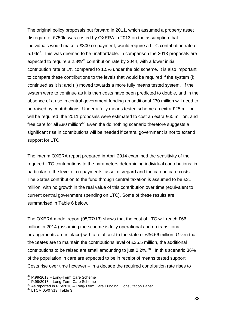The original policy proposals put forward in 2011, which assumed a property asset disregard of £750k, was costed by OXERA in 2013 on the assumption that individuals would make a £300 co-payment, would require a LTC contribution rate of 5.1% $27$ . This was deemed to be unaffordable. In comparison the 2013 proposals are expected to require a  $2.8\%$ <sup>28</sup> contribution rate by 2044, with a lower initial contribution rate of 1% compared to 1.5% under the old scheme. It is also important to compare these contributions to the levels that would be required if the system (i) continued as it is; and (ii) moved towards a more fully means tested system. If the system were to continue as it is then costs have been predicted to double, and in the absence of a rise in central government funding an additional £30 million will need to be raised by contributions. Under a fully means tested scheme an extra £25 million will be required; the 2011 proposals were estimated to cost an extra £60 million, and free care for all £80 million<sup>29</sup>. Even the do nothing scenario therefore suggests a significant rise in contributions will be needed if central government is not to extend support for LTC.

The interim OXERA report prepared in April 2014 examined the sensitivity of the required LTC contributions to the parameters determining individual contributions; in particular to the level of co-payments, asset disregard and the cap on care costs. The States contribution to the fund through central taxation is assumed to be £31 million, with no growth in the real value of this contribution over time (equivalent to current central government spending on LTC). Some of these results are summarised in Table 6 below.

The OXERA model report (05/07/13) shows that the cost of LTC will reach £66 million in 2014 (assuming the scheme is fully operational and no transitional arrangements are in place) with a total cost to the state of £36.66 million. Given that the States are to maintain the contributions level of £35.5 million, the additional contributions to be raised are small amounting to just  $0.2\%$ .<sup>30</sup> In this scenario 36% of the population in care are expected to be in receipt of means tested support. Costs rise over time however – in a decade the required contribution rate rises to

1

 $27$  P.99/2013 – Long-Term Care Scheme

<sup>&</sup>lt;sup>28</sup> P.99/2013 – Long-Term Care Scheme

<sup>29</sup> As reported in R.5/2010 – Long-Term Care Funding: Consultation Paper

<sup>&</sup>lt;sup>30</sup> LTCM 05/07/13, Table 3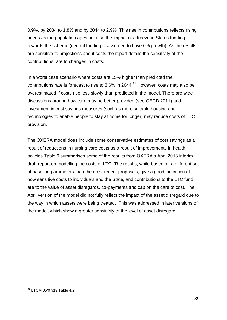0.9%, by 2034 to 1.8% and by 2044 to 2.9%. This rise in contributions reflects rising needs as the population ages but also the impact of a freeze in States funding towards the scheme (central funding is assumed to have 0% growth). As the results are sensitive to projections about costs the report details the sensitivity of the contributions rate to changes in costs.

In a worst case scenario where costs are 15% higher than predicted the contributions rate is forecast to rise to  $3.6\%$  in 2044.<sup>31</sup> However, costs may also be overestimated if costs rise less slowly than predicted in the model. There are wide discussions around how care may be better provided (see OECD 2011) and investment in cost savings measures (such as more suitable housing and technologies to enable people to stay at home for longer) may reduce costs of LTC provision.

The OXERA model does include some conservative estimates of cost savings as a result of reductions in nursing care costs as a result of improvements in health policies Table 6 summarises some of the results from OXERA's April 2013 interim draft report on modelling the costs of LTC. The results, while based on a different set of baseline parameters than the most recent proposals, give a good indication of how sensitive costs to individuals and the State, and contributions to the LTC fund, are to the value of asset disregards, co-payments and cap on the care of cost. The April version of the model did not fully reflect the impact of the asset disregard due to the way in which assets were being treated. This was addressed in later versions of the model, which show a greater sensitivity to the level of asset disregard.

<sup>1</sup> <sup>31</sup> LTCM 05/07/13 Table 4.2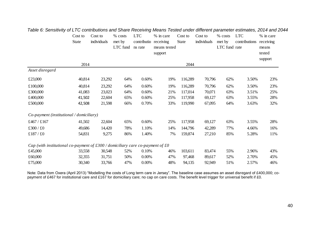|                                                                                    | Cost to<br><b>State</b> | Cost to<br>individuals | % costs<br>met by<br>LTC fund | <b>LTC</b><br>contributio receiving<br>ns rate | % in care<br>means tested<br>support | Cost to<br>State | Cost to<br>individuals | % costs<br>met by<br>LTC fund rate | <b>LTC</b><br>contributions | % in care<br>receiving<br>means<br>tested |
|------------------------------------------------------------------------------------|-------------------------|------------------------|-------------------------------|------------------------------------------------|--------------------------------------|------------------|------------------------|------------------------------------|-----------------------------|-------------------------------------------|
|                                                                                    | 2014                    |                        |                               |                                                |                                      | 2044             |                        |                                    |                             | support                                   |
| Asset disregard                                                                    |                         |                        |                               |                                                |                                      |                  |                        |                                    |                             |                                           |
| £23,000                                                                            | 40,814                  | 23,292                 | 64%                           | 0.60%                                          | 19%                                  | 116,289          | 70,796                 | 62%                                | 3.50%                       | 23%                                       |
| £100,000                                                                           | 40,814                  | 23,292                 | 64%                           | 0.60%                                          | 19%                                  | 116,289          | 70,796                 | 62%                                | 3.50%                       | 23%                                       |
| £300,000                                                                           | 41,083                  | 23,023                 | 64%                           | 0.60%                                          | 21%                                  | 117,014          | 70,071                 | 63%                                | 3.51%                       | 25%                                       |
| £400,000                                                                           | 41,502                  | 22,604                 | 65%                           | 0.60%                                          | 25%                                  | 117,958          | 69,127                 | 63%                                | 3.55%                       | 28%                                       |
| £500,000                                                                           | 42,508                  | 21,598                 | 66%                           | 0.70%                                          | 33%                                  | 119,990          | 67,095                 | 64%                                | 3.63%                       | 32%                                       |
| Co-payment (institutional / domiciliary)                                           |                         |                        |                               |                                                |                                      |                  |                        |                                    |                             |                                           |
| £467/£167                                                                          | 41,502                  | 22,604                 | 65%                           | 0.60%                                          | 25%                                  | 117,958          | 69,127                 | 63%                                | 3.55%                       | 28%                                       |
| $\pounds300$ / $\pounds0$                                                          | 49,686                  | 14,420                 | 78%                           | 1.10%                                          | 14%                                  | 144,796          | 42,289                 | 77%                                | 4.66%                       | 16%                                       |
| £187/£0                                                                            | 54,831                  | 9,275                  | 86%                           | 1.40%                                          | 7%                                   | 159,874          | 27,210                 | 85%                                | 5.28%                       | 11%                                       |
| Cap (with institutional co-payment of $£300$ / domiciliary care co-payment of $£0$ |                         |                        |                               |                                                |                                      |                  |                        |                                    |                             |                                           |
| £45,000                                                                            | 33,558                  | 30,548                 | 52%                           | 0.10%                                          | 46%                                  | 103,611          | 83,474                 | 55%                                | 2.96%                       | 43%                                       |
| £60,000                                                                            | 32,355                  | 31,751                 | 50%                           | $0.00\%$                                       | 47%                                  | 97,468           | 89,617                 | 52%                                | 2.70%                       | 45%                                       |
| £75,000                                                                            | 30,340                  | 33,766                 | 47%                           | 0.00%                                          | 48%                                  | 94,135           | 92,949                 | 51%                                | 2.57%                       | 46%                                       |

### *Table 6: Sensitivity of LTC contributions and Share Receiving Means Tested under different parameter estimates, 2014 and 2044*

Note: Data from Oxera (April 2013) "Modelling the costs of Long term care in Jersey". The baseline case assumes an asset disregard of £400,000; copayment of £467 for institutional care and £167 for domiciliary care; no cap on care costs. The benefit level trigger for universal benefit if £0.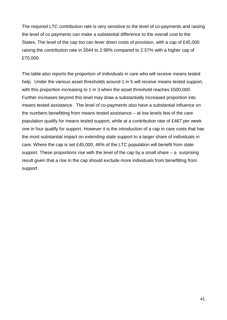The required LTC contribution rate is very sensitive to the level of co-payments and raising the level of co payments can make a substantial difference to the overall cost to the States. The level of the cap too can lever down costs of provision, with a cap of £45,000 raising the contribution rate in 2044 to 2.98% compared to 2.57% with a higher cap of £70,000.

The table also reports the proportion of individuals in care who will receive means tested help. Under the various asset thresholds around 1 in 5 will receive means tested support, with this proportion increasing to 1 in 3 when the asset threshold reaches £500,000. Further increases beyond this level may draw a substantially increased proportion into means tested assistance. The level of co-payments also have a substantial influence on the numbers benefitting from means tested assistance – at low levels few of the care population qualify for means tested support, while at a contribution rate of £467 per week one in four qualify for support. However it is the introduction of a cap in care costs that has the most substantial impact on extending state support to a larger share of individuals in care. Where the cap is set £45,000, 46% of the LTC population will benefit from state support. These proportions rise with the level of the cap by a small share  $-$  a surprising result given that a rise in the cap should exclude more individuals from benefitting from support.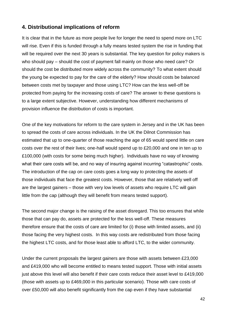### **4. Distributional implications of reform**

It is clear that in the future as more people live for longer the need to spend more on LTC will rise. Even if this is funded through a fully means tested system the rise in funding that will be required over the next 30 years is substantial. The key question for policy makers is who should pay – should the cost of payment fall mainly on those who need care? Or should the cost be distributed more widely across the community? To what extent should the young be expected to pay for the care of the elderly? How should costs be balanced between costs met by taxpayer and those using LTC? How can the less well-off be protected from paying for the increasing costs of care? The answer to these questions is to a large extent subjective. However, understanding how different mechanisms of provision influence the distribution of costs is important.

One of the key motivations for reform to the care system in Jersey and in the UK has been to spread the costs of care across individuals. In the UK the Dilnot Commission has estimated that up to one-quarter of those reaching the age of 65 would spend little on care costs over the rest of their lives; one-half would spend up to £20,000 and one in ten up to £100,000 (with costs for some being much higher). Individuals have no way of knowing what their care costs will be, and no way of insuring against incurring "catastrophic" costs. The introduction of the cap on care costs goes a long way to protecting the assets of those individuals that face the greatest costs. However, those that are relatively well off are the largest gainers – those with very low levels of assets who require LTC will gain little from the cap (although they will benefit from means tested support).

The second major change is the raising of the asset disregard. This too ensures that while those that can pay do, assets are protected for the less well-off. These measures therefore ensure that the costs of care are limited for (i) those with limited assets, and (ii) those facing the very highest costs. In this way costs are redistributed from those facing the highest LTC costs, and for those least able to afford LTC, to the wider community.

Under the current proposals the largest gainers are those with assets between £23,000 and £419,000 who will become entitled to means tested support. Those with initial assets just above this level will also benefit if their care costs reduce their asset level to £419,000 (those with assets up to £469,000 in this particular scenario). Those with care costs of over £50,000 will also benefit significantly from the cap even if they have substantial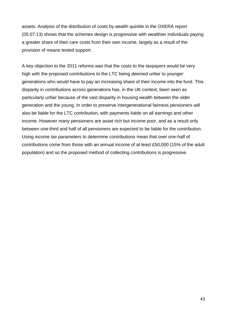assets. Analysis of the distribution of costs by wealth quintile in the OXERA report (05.07.13) shows that the schemes design is progressive with wealthier individuals paying a greater share of their care costs from their own income, largely as a result of the provision of means tested support.

A key objection to the 2011 reforms was that the costs to the taxpayers would be very high with the proposed contributions to the LTC being deemed unfair to younger generations who would have to pay an increasing share of their income into the fund. This disparity in contributions across generations has, in the UK context, been seen as particularly unfair because of the vast disparity in housing wealth between the older generation and the young. In order to preserve intergenerational fairness pensioners will also be liable for the LTC contribution, with payments liable on all earnings and other income. However many pensioners are asset rich but income poor, and as a result only between one-third and half of all pensioners are expected to be liable for the contribution. Using income tax parameters to determine contributions mean that over one-half of contributions come from those with an annual income of at least £50,000 (15% of the adult population) and so the proposed method of collecting contributions is progressive.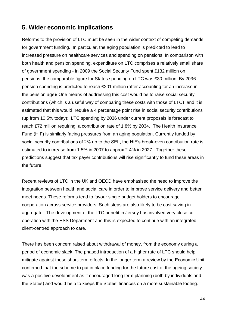### **5. Wider economic implications**

Reforms to the provision of LTC must be seen in the wider context of competing demands for government funding. In particular, the aging population is predicted to lead to increased pressure on healthcare services and spending on pensions. In comparison with both health and pension spending, expenditure on LTC comprises a relatively small share of government spending - in 2009 the Social Security Fund spent £132 million on pensions; the comparable figure for States spending on LTC was £30 million. By 2036 pension spending is predicted to reach £201 million (after accounting for an increase in the pension age)/ One means of addressing this cost would be to raise social security contributions (which is a useful way of comparing these costs with those of LTC) and it is estimated that this would require a 4 percentage point rise in social security contributions (up from 10.5% today); LTC spending by 2036 under current proposals is forecast to reach £72 million requiring a contribution rate of 1.8% by 2034. The Health Insurance Fund (HIF) is similarly facing pressures from an aging population. Currently funded by social security contributions of 2% up to the SEL, the HIF's break-even contribution rate is estimated to increase from 1.5% in 2007 to approx 2.4% in 2027. Together these predictions suggest that tax payer contributions will rise significantly to fund these areas in the future.

Recent reviews of LTC in the UK and OECD have emphasised the need to improve the integration between health and social care in order to improve service delivery and better meet needs. These reforms tend to favour single budget holders to encourage cooperation across service providers. Such steps are also likely to be cost saving in aggregate. The development of the LTC benefit in Jersey has involved very close cooperation with the HSS Department and this is expected to continue with an integrated, client-centred approach to care.

There has been concern raised about withdrawal of money, from the economy during a period of economic slack. The phased introduction of a higher rate of LTC should help mitigate against these short-term effects. In the longer term a review by the Economic Unit confirmed that the scheme to put in place funding for the future cost of the ageing society was a positive development as it encouraged long term planning (both by individuals and the States) and would help to keeps the States' finances on a more sustainable footing.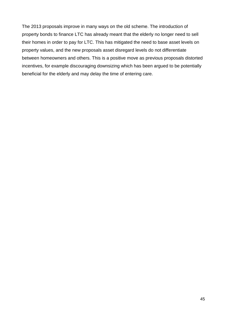The 2013 proposals improve in many ways on the old scheme. The introduction of property bonds to finance LTC has already meant that the elderly no longer need to sell their homes in order to pay for LTC. This has mitigated the need to base asset levels on property values, and the new proposals asset disregard levels do not differentiate between homeowners and others. This is a positive move as previous proposals distorted incentives, for example discouraging downsizing which has been argued to be potentially beneficial for the elderly and may delay the time of entering care.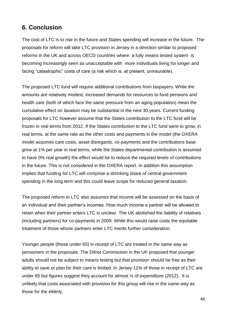### **6. Conclusion**

The cost of LTC is to rise in the future and States spending will increase in the future. The proposals for reform will take LTC provision in Jersey in a direction similar to proposed reforms in the UK and across OECD countries where a fully means tested system is becoming increasingly seen as unacceptable with more individuals living for longer and facing "catastrophic" costs of care (a risk which is, at present, uninsurable).

The proposed LTC fund will require additional contributions from taxpayers. While the amounts are relatively modest, increased demands for resources to fund pensions and health care (both of which face the same pressure from an aging population) mean the cumulative effect on taxation may be substantial in the next 30 years. Current funding proposals for LTC however assume that the States contribution to the LTC fund will be frozen in real terms from 2012. If the States contribution to the LTC fund were to grow, in real terms, at the same rate as the other costs and payments in the model (the OXERA model assumes care costs, asset disregards, co-payments and the contributions base grow at 1% per year in real terms, while the States departmental contribution is assumed to have 0% real growth) the effect would be to reduce the required levels of contributions in the future. This is not considered in the OXERA report. In addition this assumption implies that funding for LTC will comprise a shrinking share of central government spending in the long term and this could leave scope for reduced general taxation.

The proposed reform to LTC also assumes that income will be assessed on the basis of an individual and their partner's incomes. How much income a partner will be allowed to retain when their partner enters LTC is unclear. The UK abolished the liability of relatives (including partners) for co-payments in 2009. While this would raise costs the equitable treatment of those whose partners enter LTC merits further consideration.

Younger people (those under 65) in receipt of LTC are treated in the same way as pensioners in the proposals. The Dilnot Commission in the UK proposed that younger adults should not be subject to means testing but that provision should be free as their ability to save or plan for their care is limited. In Jersey 11% of those in receipt of LTC are under 65 but figures suggest they account for almost  $\frac{1}{4}$  of expenditure (2012). It is unlikely that costs associated with provision for this group will rise in the same way as those for the elderly.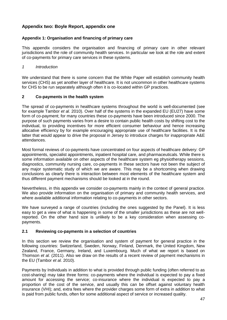### <span id="page-48-0"></span>**Appendix two: Boyle Report, appendix one**

### **Appendix 1: Organisation and financing of primary care**

This appendix considers the organisation and financing of primary care in other relevant jurisdictions and the role of community health services. In particular we look at the role and extent of co-payments for primary care services in these systems.

### *1 Introduction*

We understand that there is some concern that the White Paper will establish community health services (CHS) as yet another layer of healthcare. It is not uncommon in other healthcare systems for CHS to be run separately although often it is co-located within GP practices.

### **2 Co-payments in the health system**

The spread of co-payments in healthcare systems throughout the world is well-documented (see for example Tambor *et al.* 2010). Over half of the systems in the expanded EU (EU27) have some form of co-payment; for many countries these co-payments have been introduced since 2000. The purpose of such payments varies from a desire to contain public health costs by shifting cost to the individual, to providing incentives for more efficient consumer behaviour and hence increasing allocative efficiency by for example encouraging appropriate use of healthcare facilities. It is the latter that would appear to drive the proposal in Jersey to introduce charges for inappropriate A&E attendances.

Most formal reviews of co-payments have concentrated on four aspects of healthcare delivery: GP appointments, specialist appointments, inpatient hospital care, and pharmaceuticals. While there is some information available on other aspects of the healthcare system eg physiotherapy sessions, diagnostics, community nursing care, co-payments in these sectors have not been the subject of any major systematic study of which we are aware. This may be a shortcoming when drawing conclusions as clearly there is interaction between most elements of the healthcare system and thus different payment mechanisms should be looked at in the round.

Nevertheless, in this appendix we consider co-payments mainly in the context of general practice. We also provide information on the organisation of primary and community health services, and where available additional information relating to co-payments in other sectors.

We have surveyed a range of countries (including the ones suggested by the Panel). It is less easy to get a view of what is happening in some of the smaller jurisdictions as these are not wellreported. On the other hand size is unlikely to be a key consideration when assessing copayments.

### **2.1 Reviewing co-payments in a selection of countries**

In this section we review the organisation and system of payment for general practice in the following countries: Switzerland, Sweden, Norway, Finland, Denmark, the United Kingdom, New Zealand, France, Germany, Ireland, and Luxembourg. Much of what we report is based on Thomson *et al.* (2011). Also we draw on the results of a recent review of payment mechanisms in the EU (Tambor *et al.* 2010).

Payments by Individuals in addition to what is provided through public funding (often referred to as cost-sharing) may take three forms: co-payments where the individual is expected to pay a fixed amount for accessing the service; co-insurance where the individual is expected to pay a proportion of the cost of the service, and usually this can be offset against voluntary health insurance (VHI); and, extra fees where the provider charges some form of extra in addition to what is paid from public funds, often for some additional aspect of service or increased quality.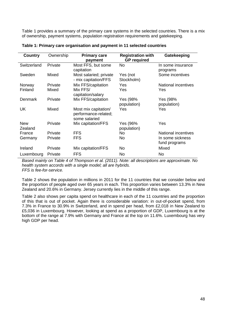Table 1 provides a summary of the primary care systems in the selected countries. There is a mix of ownership, payment systems, population registration requirements and gatekeeping.

| <b>Country</b>        | Ownership | <b>Primary care</b><br>payment                                | <b>Registration with</b><br><b>GP</b> required | Gatekeeping                       |
|-----------------------|-----------|---------------------------------------------------------------|------------------------------------------------|-----------------------------------|
| Switzerland           | Private   | Most FFS, but some<br>capitation                              | No                                             | In some insurance<br>programs     |
| Sweden                | Mixed     | Most salaried; private<br>- mix capitation/FFS                | Yes (not<br>Stockholm)                         | Some incentives                   |
| Norway                | Private   | Mix FFS/capitation                                            | Yes                                            | National incentives               |
| Finland               | Mixed     | Mix FFS/<br>capitation/salary                                 | Yes                                            | Yes                               |
| Denmark               | Private   | Mix FFS/capitation                                            | Yes (98%<br>population)                        | Yes (98%<br>population)           |
| <b>UK</b>             | Mixed     | Most mix capitation/<br>performance-related;<br>some salaried | Yes                                            | Yes                               |
| <b>New</b><br>Zealand | Private   | Mix capitation/FFS                                            | Yes (96%<br>population)                        | Yes                               |
| France                | Private   | <b>FFS</b>                                                    | No.                                            | <b>National incentives</b>        |
| Germany               | Private   | <b>FFS</b>                                                    | <b>No</b>                                      | In some sickness<br>fund programs |
| Ireland               | Private   | Mix capitation/FFS                                            | No                                             | Mixed                             |
| Luxembourg            | Private   | <b>FFS</b>                                                    | <b>No</b>                                      | No.                               |

**Table 1: Primary care organisation and payment in 11 selected countries**

*Based mainly on Table 4 of Thompson et al. (2011). Note: all descriptions are approximate. No health system accords with a single model; all are hybrids. FFS is fee-for-service.*

Table 2 shows the population in millions in 2011 for the 11 countries that we consider below and the proportion of people aged over 65 years in each. This proportion varies between 13.3% in New Zealand and 20.6% in Germany. Jersey currently lies in the middle of this range.

Table 2 also shows per capita spend on healthcare in each of the 11 countries and the proportion of this that is out of pocket. Again there is considerable variation: in out-of-pocket spend, from 7.3% in France to 30.9% in Switzerland, and in spend per head, from £2,018 in New Zealand to £5,036 in Luxembourg. However, looking at spend as a proportion of GDP, Luxembourg is at the bottom of the range at 7.9% with Germany and France at the top on 11.6%. Luxembourg has very high GDP per head.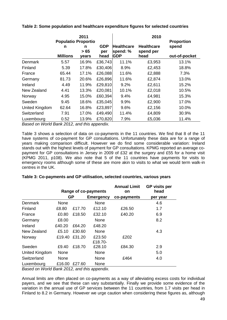|                | <b>Populatio Proportio</b> | 2011               |                           |                                             | 2010                                   | <b>Proportion</b>      |
|----------------|----------------------------|--------------------|---------------------------|---------------------------------------------|----------------------------------------|------------------------|
|                | n<br><b>Millions</b>       | n<br>> 65<br>years | <b>GDP</b><br>per<br>head | <b>Healthcare</b><br>spend: %<br><b>GDP</b> | <b>Healthcare</b><br>spend per<br>head | spend<br>out-of-pocket |
| Denmark        | 5.57                       | 16.9%              | £36,743                   | 11.1%                                       | £3,953                                 | 13.1%                  |
| Finland        | 5.39                       | 17.8%              | £30,406                   | 8.9%                                        | £2,453                                 | 18.8%                  |
| France         | 65.44                      | 17.1%              | £26,088                   | 11.6%                                       | £2,888                                 | 7.3%                   |
| Germany        | 81.73                      | 20.6%              | £26,896                   | 11.6%                                       | £2,874                                 | 13.0%                  |
| Ireland        | 4.49                       | 11.9%              | £29,810                   | 9.2%                                        | £2,611                                 | 15.2%                  |
| New Zealand    | 4.41                       | 13.3%              | £20,081                   | 10.1%                                       | £2,018                                 | 10.5%                  |
| Norway         | 4.95                       | 15.0%              | £60,394                   | 9.4%                                        | £4,981                                 | 15.3%                  |
| Sweden         | 9.45                       | 18.6%              | £35,045                   | 9.9%                                        | £2,900                                 | 17.0%                  |
| United Kingdom | 62.64                      | 16.8%              | £23,897                   | 9.6%                                        | £2,156                                 | 10.0%                  |
| Switzerland    | 7.91                       | 17.0%              | £49,490                   | 11.4%                                       | £4,809                                 | 30.9%                  |
| Luxembourg     | 0.52                       | 13.9%              | £70,820                   | 7.9%                                        | £5,036                                 | 11.4%                  |

**Table 2: Some population and healthcare expenditure figures for selected countries**

*Based on World Bank 2012, and this appendix.*

Table 3 shows a selection of data on co-payments in the 11 countries. We find that 8 of the 11 have systems of co-payment for GP consultations. Unfortunately these data are for a range of years making comparison difficult. However we do find some considerable variation: Ireland stands out with the highest levels of payment for GP consultations. KPMG reported an average copayment for GP consultations in Jersey in 2009 of £32 at the surgery and £55 for a home visit (KPMG 2011, p108). We also note that 5 of the 11 countries have payments for visits to emergency rooms although some of these are more akin to visits to what we would term walk-in centres in the UK.

|                |           |        | Range of co-payments | <b>Annual Limit</b><br>on | <b>GP visits per</b><br>head |
|----------------|-----------|--------|----------------------|---------------------------|------------------------------|
|                | <b>GP</b> |        | <b>Emergency</b>     | co-payments               | per year                     |
| Denmark        | None      |        | None                 |                           | 4.6                          |
| Finland        | £8.80     | £17.70 | £12.10               | £26.50                    | 1.7                          |
| France         | £0.80     | £18.50 | £32.10               | £40.20                    | 6.9                          |
| Germany        | £8.00     |        | None                 |                           | 8.2                          |
| Ireland        | £40.20    | £64.20 | £48.20               |                           |                              |
| New Zealand    | £5.10     | £30.60 | None                 |                           | 4.3                          |
| Norway         | £19.40    | £31.20 | £23.50<br>£18.70-    | £202                      |                              |
| Sweden         | £9.40     | £18.70 | £28.10               | £84.30                    | 2.9                          |
| United Kingdom | None      |        | None                 |                           | 5.0                          |
| Switzerland    | None      |        | None                 | £464                      | 4.0                          |
| Luxembourg     | £16.00    | £27.60 | None                 |                           |                              |

### **Table 3: Co-payments and GP utilisation, selected countries, various years**

*Based on World Bank 2012, and this appendix.*

Annual limits are often placed on co-payments as a way of alleviating excess costs for individual payers, and we see that these can vary substantially. Finally we provide some evidence of the variation in the annual use of GP services between the 11 countries, from 1.7 visits per head in Finland to 8.2 in Germany. However we urge caution when considering these figures as, although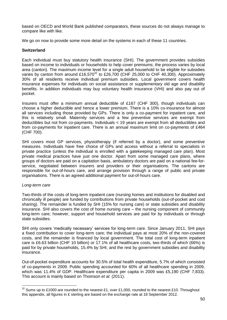based on OECD and World Bank published comparators, these sources do not always manage to compare like with like.

We go on now to provide some more detail on the systems in each of these 11 countries.

### **Switzerland**

Each individual must buy statutory health insurance (SHI). The government provides subsidies based on income to individuals or households to help cover premiums; the process varies by local area (canton). The maximum income level for a single adult household to be eligible for subsidies varies by canton from around £16,570<sup>32</sup> to £26,700 (CHF 25,000 to CHF 40,300). Approximately 30% of all residents receive individual premium subsidies. Local government covers health insurance expenses for individuals on social assistance or supplementary old age and disability benefits. In addition individuals may buy voluntary health insurance (VHI) and also pay out of pocket.

Insurers must offer a minimum annual deductible of £167 (CHF 300), though individuals can choose a higher deductible and hence a lower premium. There is a 10% co-insurance for almost all services including those provided by GPs. There is only a co-payment for inpatient care, and this is relatively small. Maternity services and a few preventive services are exempt from deductibles but not from co-payments. Individuals < 19 years are exempt from all deductibles and from co-payments for inpatient care. There is an annual maximum limit on co-payments of £464 (CHF 700).

SHI covers most GP services, physiotherapy (if referred by a doctor), and some preventive measures. Individuals have free choice of GPs and access without a referral to specialists in private practice (unless the individual is enrolled with a gatekeeping managed care plan). Most private medical practices have just one doctor. Apart from some managed care plans, where groups of doctors are paid on a capitation basis, ambulatory doctors are paid on a national fee-forservice, negotiated between insurers and providers or their organisations. The cantons are responsible for out-of-hours care, and arrange provision through a range of public and private organisations. There is an agreed additional payment for out-of-hours care.

### *Long-term care*

 $\overline{a}$ 

Two-thirds of the costs of long-term inpatient care (nursing homes and institutions for disabled and chronically ill people) are funded by contributions from private households (out-of-pocket and cost sharing). The remainder is funded by SHI (15% for nursing care) or state subsidies and disability insurance. SHI also covers the cost of home nursing care – the nursing component of community long-term care; however, support and household services are paid for by individuals or through state subsidies.

SHI only covers 'medically necessary' services for long-term care. Since January 2011, SHI pays a fixed contribution to cover long-term care; the individual pays at most 20% of the non-covered costs, and the remainder is financed by local government. The total cost of long-term inpatient care is £6.63 billion (CHF 10 billion) or 17.1% of all healthcare costs, two-thirds of which (66%) is paid for by private households, 15.4% by SHI, and the rest by government subsidies and disability insurance.

Out-of-pocket expenditure accounts for 30.5% of total health expenditure, 5.7% of which consisted of co-payments in 2009. Public spending accounted for 60% of all healthcare spending in 2009, which was 11.4% of GDP. Healthcare expenditure per capita in 2009 was £5,190 (CHF 7,833). This account is mainly based on Thomson *et al.* (2011).

 $32$  Sums up to £1000 are rounded to the nearest £1, over £1,000, rounded to the nearest £10. Throughout this appendix, all figures in £ sterling are based on the exchange rate at 18 September 2012.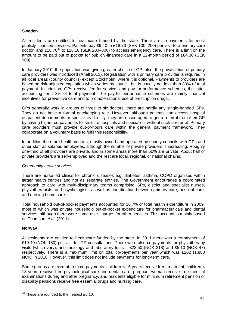### **Sweden**

All residents are entitled to healthcare funded by the state. There are co-payments for most publicly-financed services. Patients pay £9.40 to £18.70 (SEK 100–200) per visit to a primary care doctor, and £18.70 $33$  to £28.10 (SEK 200–300) to access emergency care. There is a limit on the amount to be paid out of pocket for publicly-financed care in a 12-month period of £84.30 (SEK 900).

In January 2010, the population was given greater choice of GP; also, the privatisation of primary care providers was introduced (Anell 2011). Registration with a primary care provider is required in all local areas (county councils) except Stockholm, where it is optional. Payments to providers are based on risk-adjusted capitation which varies by council, but is usually not less than 80% of total payment. In addition, GPs receive fee-for-service, and pay-for-performance schemes, the latter accounting for 2-3% of total payment. The pay-for-performance schemes are mainly financial incentives for preventive care and to promote rational use of prescription drugs.

GPs generally work in groups of three to six doctors; there are hardly any single-handed GPs. They do not have a formal gatekeeping role. However, although patients can access hospital outpatient departments or specialists directly, they are encouraged to get a referral from their GP by having higher co-payments for visits to hospitals and specialists without such a referral. Primary care providers must provide out-of-hours care within the general payment framework. They collaborate on a voluntary basis to fulfil this responsibility.

In addition there are health centres, mostly owned and operated by county councils with GPs and other staff as salaried employees, although the number of private providers is increasing. Roughly one-third of all providers are private, and in some areas more than 50% are private. About half of private providers are self-employed and the rest are local, regional, or national chains.

### *Community health services*

There are nurse-led clinics for chronic diseases e.g. diabetes, asthma, COPD organised within larger health centres and not as separate entities. The Government encourages a coordinated approach to care with multi-disciplinary teams comprising GPs, district and specialist nurses, physiotherapists, and psychologists, as well as coordination between primary care, hospital care, and nursing home care.

Total household out-of-pocket payments accounted for 16.7% of total health expenditure in 2009, most of which was private household out-of-pocket expenditure for pharmaceuticals and dental services, although there were some user charges for other services. This account is mainly based on Thomson *et al.* (2011).

### **Norway**

 $\overline{a}$ 

All residents are entitled to healthcare funded by the state. In 2011 there was a co-payment of £19.40 (NOK 180) per visit for GP consultations. There were also co-payments for physiotherapy visits (which vary), and radiology and laboratory tests  $-$  £23.50 (NOK 218) and £5.10 (NOK 47) respectively. There is a maximum limit on total co-payments per year which was £202 (1,880 NOK) in 2010. However, this limit does not include payments for long-term care.

Some groups are exempt from co-payments: children < 16 years receive free treatment, children < 18 years receive free psychological care and dental care, pregnant woman receive free medical examinations during and after pregnancy, and residents eligible for minimum retirement pension or disability pensions receive free essential drugs and nursing care.

 $33$  These are rounded to the nearest £0.10.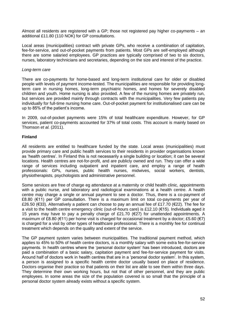Almost all residents are registered with a GP; those not registered pay higher co-payments – an additional £11.80 (110 NOK) for GP consultations.

Local areas (municipalities) contract with private GPs, who receive a combination of capitation, fee-for-service, and out-of-pocket payments from patients. Most GPs are self-employed although there are some salaried employees. GP practices are typically comprised of two to six doctors, nurses, laboratory technicians and secretaries, depending on the size and interest of the practice.

#### *Long-term care*

There are co-payments for home-based and long-term institutional care for older or disabled people with levels of payment income-tested. The municipalities are responsible for providing longterm care in nursing homes, long-term psychiatric homes, and homes for severely disabled children and youth. Home nursing is also provided. A few of the nursing homes are privately run, but services are provided mainly through contracts with the municipalities. Very few patients pay individually for full-time nursing home care. Out-of-pocket payment for institutionalised care can be up to 85% of the patient's income.

In 2009, out-of-pocket payments were 15% of total healthcare expenditure. However, for GP services, patient co-payments accounted for 37% of total costs. This account is mainly based on Thomson *et al.* (2011).

### **Finland**

All residents are entitled to healthcare funded by the state. Local areas (municipalities) must provide primary care and public health services to their residents in provider organisations known as 'health centres'. In Finland this is not necessarily a single building or location; it can be several locations. Health centres are not-for-profit, and are publicly owned and run. They can offer a wide range of services including outpatient and inpatient care, and employ a range of health professionals: GPs, nurses, public health nurses, midwives, social workers, dentists, physiotherapists, psychologists and administrative personnel.

Some services are free of charge eg attendance at a maternity or child health clinic, appointments with a public nurse, and laboratory and radiological examinations at a health centre. A health centre may charge a single or annual payment to see a doctor. Thus, there is a co-payment of £8.80 (€11) per GP consultation. There is a maximum limit on total co-payments per year of £26.50 (€33). Alternatively a patient can choose to pay an annual fee of £17.70 (€22). The fee for a visit to the health centre emergency clinic (out-of-hours care) is £12.10 (€15). Individuals aged ≥ 15 years may have to pay a penalty charge of £21.70 (€27) for unattended appointments. A maximum of £8.80 ( $\epsilon$ 11) per home visit is charged for occasional treatment by a doctor; £5.60 ( $\epsilon$ 7) is charged for a visit by other types of healthcare professional. There is a monthly fee for continual treatment which depends on the quality and extent of the service.

The GP payment system varies between municipalities. The traditional payment method, which applies to 45% to 50% of health centre doctors, is a monthly salary with some extra fee-for-service payments. In health centres where the 'personal doctor system' has been introduced, doctors are paid a combination of a basic salary, capitation payment and fee-for-service payment for visits. Around half of doctors work in health centres that are in a 'personal doctor system'. In this system, a person is assigned to a specific health centre doctor usually based on place of residence. Doctors organise their practice so that patients on their list are able to see them within three days. They determine their own working hours, but not that of other personnel, and they are public employees. In some areas the size of the population covered is so small that the principle of a personal doctor system already exists without a specific system.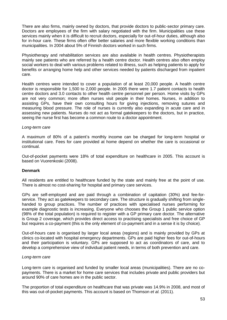There are also firms, mainly owned by doctors, that provide doctors to public-sector primary care. Doctors are employees of the firm with salary negotiated with the firm. Municipalities use these services mainly when it is difficult to recruit doctors, especially for out-of-hour duties, although also for in-hour care. These firms often offer better salaries and more flexible working conditions than municipalities. In 2004 about 5% of Finnish doctors worked in such firms.

Physiotherapy and rehabilitation services are also available in health centres. Physiotherapists mainly see patients who are referred by a health centre doctor. Health centres also often employ social workers to deal with various problems related to illness, such as helping patients to apply for benefits or arranging home help and other services needed by patients discharged from inpatient care.

Health centres were intended to cover a population of at least 20,000 people. A health centre doctor is responsible for 1,500 to 2,000 people. In 2005 there were 1.7 patient contacts to health centre doctors and 3.0 contacts to other health centre personnel per person. Home visits by GPs are not very common; more often nurses visit people in their homes. Nurses, in addition to assisting GPs, have their own consulting hours for giving injections, removing sutures and measuring blood pressure. The role of nurses is currently also expanding in acute care and in assessing new patients. Nurses do not act as formal gatekeepers to the doctors, but in practice, seeing the nurse first has become a common route to a doctor appointment.

#### *Long-term care*

A maximum of 80% of a patient's monthly income can be charged for long-term hospital or institutional care. Fees for care provided at home depend on whether the care is occasional or continual.

Out-of-pocket payments were 18% of total expenditure on healthcare in 2005. This account is based on Vuorenkoski (2008).

#### **Denmark**

All residents are entitled to healthcare funded by the state and mainly free at the point of use. There is almost no cost-sharing for hospital and primary care services.

GPs are self-employed and are paid through a combination of capitation (30%) and fee-forservice. They act as gatekeepers to secondary care. The structure is gradually shifting from singlehanded to group practices. The number of practices with specialised nurses performing for example diagnostic tests is increasing. Everyone who chooses the Group 1 public service option (98% of the total population) is required to register with a GP primary care doctor. The alternative is Group 2 coverage, which provides direct access to practising specialists and free choice of GP but requires a co-payment (this is the only element of co-payment and in a sense it is by choice).

Out-of-hours care is organised by larger local areas (regions) and is mainly provided by GPs at clinics co-located with hospital emergency departments. GPs are paid higher fees for out-of-hours and their participation is voluntary. GPs are supposed to act as coordinators of care, and to develop a comprehensive view of individual patient needs, in terms of both prevention and care.

#### *Long-term care*

Long-term care is organised and funded by smaller local areas (municipalities). There are no copayments. There is a market for home care services that includes private and public providers but around 90% of care homes are in the public sector.

The proportion of total expenditure on healthcare that was private was 14.9% in 2008, and most of this was out-of-pocket payments. This account is based on Thomson *et al.* (2011).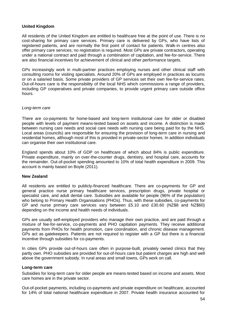### **United Kingdom**

All residents of the United Kingdom are entitled to healthcare free at the point of use. There is no cost-sharing for primary care services. Primary care is delivered by GPs, who have lists of registered patients, and are normally the first point of contact for patients. Walk-in centres also offer primary care services; no registration is required. Most GPs are private contractors, operating under a national contract and paid through a combination of capitation, and fee-for-service. There are also financial incentives for achievement of clinical and other performance targets.

GPs increasingly work in multi-partner practices employing nurses and other clinical staff with consulting rooms for visiting specialists. Around 20% of GPs are employed in practices as locums or on a salaried basis. Some private providers of GP services set their own fee-for-service rates. Out-of-hours care is the responsibility of the local NHS which commissions a range of providers, including GP cooperatives and private companies, to provide urgent primary care outside office hours.

### *Long-term care*

There are co-payments for home-based and long-term institutional care for older or disabled people with levels of payment means-tested based on assets and income. A distinction is made between nursing care needs and social care needs with nursing care being paid for by the NHS. Local areas (councils) are responsible for ensuring the provision of long-term care in nursing and residential homes, although most of this is provided in private-sector homes. In addition individuals can organise their own institutional care.

England spends about 10% of GDP on healthcare of which about 84% is public expenditure. Private expenditure, mainly on over-the-counter drugs, dentistry, and hospital care, accounts for the remainder. Out-of-pocket spending amounted to 10% of total health expenditure in 2009. This account is mainly based on Boyle (2011).

### **New Zealand**

All residents are entitled to publicly-financed healthcare. There are co-payments for GP and general practice nurse primary healthcare services, prescription drugs, private hospital or specialist care, and adult dental care. Subsidies are available for people (96% of the population) who belong to Primary Health Organisations (PHOs). Thus, with these subsidies, co-payments for GP and nurse primary care services vary between £5.10 and £30.60 (NZ\$8 and NZ\$60) depending on the income and health needs of individuals.

GPs are usually self-employed providers who manage their own practice, and are paid through a mixture of fee-for-service, co-payments and PHO capitation payments. They receive additional payments from PHOs for health promotion, care coordination, and chronic disease management. GPs act as gatekeepers. Patients are not required to register with a GP but there is a financial incentive through subsidies for co-payments.

In cities GPs provide out-of-hours care often in purpose-built, privately owned clinics that they partly own. PHO subsidies are provided for out-of-hours care but patient charges are high and well above the government subsidy. In rural areas and small towns, GPs work on call.

### **Long-term care**

Subsidies for long-term care for older people are means-tested based on income and assets. Most care homes are in the private sector.

Out-of-pocket payments, including co-payments and private expenditure on healthcare, accounted for 14% of total national healthcare expenditure in 2007. Private health insurance accounted for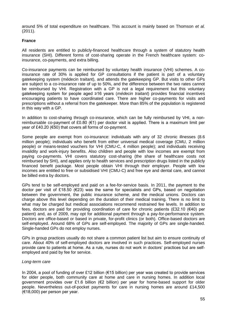around 5% of total expenditure on healthcare. This account is mainly based on Thomson *et al.* (2011).

### **France**

All residents are entitled to publicly-financed healthcare through a system of statutory health insurance (SHI). Different forms of cost-sharing operate in the French healthcare system: coinsurance, co-payments, and extra billing.

Co-insurance payments can be reimbursed by voluntary health insurance (VHI) schemes. A coinsurance rate of 30% is applied for GP consultations if the patient is part of a voluntary gatekeeping system (médecin traitant), and attends the gatekeeping GP. But visits to other GPs are subject to a co-insurance rate of up to 50%, and the difference between the two rates cannot be reimbursed by VHI. Registration with a GP is not a legal requirement but this voluntary gatekeeping system for people aged ≥16 years (*médecin traitant*) provides financial incentives encouraging patients to have coordinated care. There are higher co-payments for visits and prescriptions without a referral from the gatekeeper. More than 85% of the population is registered in this way with a GP.

In addition to cost-sharing through co-insurance, which can be fully reimbursed by VHI, a nonreimbursable co-payment of £0.80 (€1) per doctor visit is applied. There is a maximum limit per year of £40.20 (€50) that covers all forms of co-payment.

Some people are exempt from co-insurance: individuals with any of 32 chronic illnesses (8.6 million people); individuals who benefit from either universal medical coverage (CMU, 2 million people) or means-tested vouchers for VHI (CMU-C, 4 million people); and individuals receiving invalidity and work-injury benefits. Also children and people with low incomes are exempt from paying co-payments. VHI covers statutory cost-sharing (the share of healthcare costs not reimbursed by SHI), and applies only to health services and prescription drugs listed in the publicly financed benefit package. Most people obtain VHI through their employer. People with low incomes are entitled to free or subsidised VHI (CMU-C) and free eye and dental care, and cannot be billed extra by doctors.

GPs tend to be self-employed and paid on a fee-for-service basis. In 2011, the payment to the doctor per visit of £18.50 (€23) was the same for specialists and GPs, based on negotiation between the government, the public insurance scheme, and the medical unions. Doctors can charge above this level depending on the duration of their medical training. There is no limit to what may be charged but medical associations recommend restrained fee levels. In addition to fees, doctors are paid for providing coordination of care for chronic patients (£32.10 (€40) per patient) and, as of 2009, may opt for additional payment through a pay-for-performance system. Doctors are office-based or based in private, for-profit clinics (or both). Office-based doctors are self-employed. Around 68% of GPs are self-employed. The majority of GPs are single-handed. Single-handed GPs do not employ nurses.

GPs in group practices usually do not share a common patient list but aim to ensure continuity of care. About 40% of self-employed doctors are involved in such practices. Self-employed nurses provide care to patients at home. As a rule, nurses do not work in doctors' practices but are selfemployed and paid by fee for service.

#### *Long-term care*

In 2004, a pool of funding of over £12 billion (€15 billion) per year was created to provide services for older people, both community care at home and care in nursing homes. In addition local government provides over £1.6 billion (€2 billion) per year for home-based support for older people. Nevertheless out-of-pocket payments for care in nursing homes are around £14,500 (€18,000) per person per year.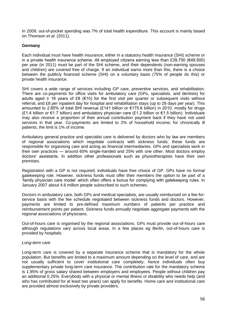In 2009, out-of-pocket spending was 7% of total health expenditure. This account is mainly based on Thomson *et al.* (2011).

### **Germany**

Each individual must have health insurance, either in a statutory health insurance (SHI) scheme or in a private health insurance scheme. All employed citizens earning less than £39,750 (€49,500) per year (in 2011) must be part of the SHI scheme, and their dependents (non-earning spouses and children) are covered free of charge. If an individual earns more than this, there is a choice between the publicly financed scheme (SHI) on a voluntary basis (75% of people do this) or private health insurance.

SHI covers a wide range of services including GP care, preventive services, and rehabilitation. There are co-payments for office visits for ambulatory care (GPs, specialists, and dentists) for adults aged ≥ 18 years of £8 (€10) for the first visit per quarter or subsequent visits without referral, and £8 per inpatient day for hospital and rehabilitation stays (up to 28 days per year). This amounted to 2.85% of total SHI revenue (£141 billion or €175.6 billion) in 2010, mostly for drugs  $(E1.4$  billion or €1.7 billion) and ambulatory physician care  $(E1.2$  billion or €1.5 billion). Individuals may also receive a proportion of their annual contribution payment back if they have not used services in that year. Co-payments are limited to 2% of household income; for chronically ill patients, the limit is 1% of income.

Ambulatory general practice and specialist care is delivered by doctors who by law are members of regional associations which negotiate contracts with sickness funds: these funds are responsible for organising care and acting as financial intermediaries. GPs and specialists work in their own practices — around 60% single-handed and 25% with one other. Most doctors employ doctors' assistants. In addition other professionals such as physiotherapists have their own premises.

Registration with a GP is not required; individuals have free choice of GP. GPs have no formal gatekeeping role. However, sickness funds must offer their members the option to be part of a 'family physician care model' which often offers a bonus for complying with gatekeeping rules. In January 2007 about 4.6 million people subscribed to such schemes.

Doctors in ambulatory care, both GPs and medical specialists, are usually reimbursed on a fee-forservice basis with the fee schedule negotiated between sickness funds and doctors. However, payments are limited to pre-defined maximum numbers of patients per practice and reimbursement points per patient. Sickness funds annually negotiate aggregate payments with the regional associations of physicians.

Out-of-hours care is organised by the regional associations. GPs must provide out-of-hours care although regulations vary across local areas. In a few places eg Berlin, out-of-hours care is provided by hospitals.

#### *Long-term care*

Long-term care is covered by a separate insurance scheme that is mandatory for the whole population. But benefits are limited to a maximum amount depending on the level of care, and are not usually sufficient to cover institutional care completely; hence individuals often buy supplementary private long-term care insurance. The contribution rate for the mandatory scheme is 1.95% of gross salary shared between employers and employees. People without children pay an additional 0.25%. Everybody with a physical or mental illness or disability who needs help (and who has contributed for at least two years) can apply for benefits. Home care and institutional care are provided almost exclusively by private providers.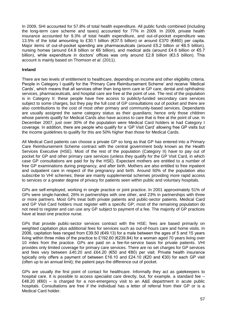In 2009, SHI accounted for 57.8% of total health expenditure. All public funds combined (including the long-term care scheme and taxes) accounted for 77% in 2009. In 2009, private health insurance accounted for 9.3% of total health expenditure, and out-of-pocket expenditure was 13.5% of the total amounting to £30.1 billion (€37.5 billion) or around £370 (€460) per capita. Major items of out-of-pocket spending are pharmaceuticals (around £5.2 billion or €6.5 billion), nursing homes (around £4.8 billion or €6 billion), and medical aids (around £4.6 billion or €5.7 billion), while expenditure in doctors' offices was only around £2.8 billion (€3.5 billion). This account is mainly based on Thomson *et al.* (2011).

#### **Ireland**

There are two levels of entitlement to healthcare, depending on income and other eligibility criteria. People in Category I qualify for the 'Primary Care Reimbursement Scheme' and receive 'Medical Cards', which means that all services other than long-term care ie GP care, dental and ophthalmic services, pharmaceuticals, and hospital care are free at the point of use. The rest of the population is in Category II: these people have free access to publicly-funded secondary care services subject to some charges, but they pay the full cost of GP consultations out of pocket and there are also contributions to the cost of most other primary and community-based services. Dependants are usually assigned the same category status as their guardians; hence only those children whose parents qualify for Medical Cards also have access to care that is free at the point of use. In December 2007, just over 30% of the population were Medical Card holders ie had Category I coverage. In addition, there are people who qualify for a 'GP Visit Card' allowing free GP visits but the income guidelines to qualify for this are 50% higher than those for Medical Cards.

All Medical Card patients can choose a private GP so long as that GP has entered into a Primary Care Reimbursement Scheme contract with the central government body known as the Health Services Executive (HSE). Most of the rest of the population (Category II) have to pay out of pocket for GP and other primary care services (unless they qualify for the GP Visit Card, in which case GP consultations are paid for by the HSE). Expectant mothers are entitled to a number of free GP examinations during pregnancy, and after birth. Mothers are also entitled to free inpatient and outpatient care in respect of the pregnancy and birth. Around 50% of the population also subscribe to VHI schemes; these are mainly supplemental schemes providing more rapid access to services or a greater degree of privacy for patients seen within public and voluntary hospitals.

GPs are self-employed, working in single practice or joint practice. In 2001 approximately 51% of GPs were single-handed, 26% in partnerships with one other, and 23% in partnerships with three or more partners. Most GPs treat both private patients and public-sector patients. Medical Card and GP Visit Card holders must register with a specific GP; most of the remaining population do not need to register and can use any GP subject to payment of a fee. The majority of GP practices have at least one practice nurse.

GPs that provide public-sector services contract with the HSE; fees are based primarily on weighted capitation plus additional fees for services such as out-of-hours care and home visits. In 2006, capitation fees ranged from £39.50 ( $€49.13$ ) for a male between the ages of 5 and 15 years living within three miles of the practice to £192.60 (€239.84) for a woman aged 70 years living over 10 miles from the practice. GPs are paid on a fee-for-service basis for private patients. VHI provides only limited coverage for primary care services. There are no set charges for GP services and fees vary between £40.20 and £64.20 (€50 and €80) per visit. Private health insurance typically only offers a payment of between £16.10 and £24.10 (€20 and €30) for each GP visit (often up to an annual limit); the patient pays the difference out of pocket.

GPs are usually the first point of contact for healthcare. Informally they act as gatekeepers to hospital care. It is possible to access specialist care directly, but, for example, a standard fee -£48.20 (€60) – is charged for a non-emergency visit to an A&E department in acute public hospitals. Consultations are free if the individual has a letter of referral from their GP or is a Medical Card holder.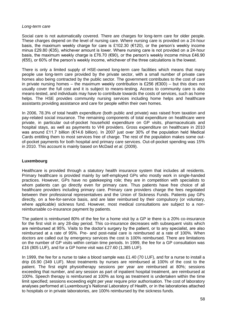### *Long-term care*

Social care is not automatically covered. There are charges for long-term care for older people. These charges depend on the level of nursing care. Where nursing care is provided on a 24-hour basis, the maximum weekly charge for care is £102.30 ( $€120$ ), or the person's weekly income minus £29.80 (€35), whichever amount is lower. Where nursing care is not provided on a 24-hour basis, the maximum weekly charge is £76.70 (€90), or the person's weekly income minus £46.90 (€55), or 60% of the person's weekly income, whichever of the three calculations is the lowest.

There is only a limited supply of HSE-owned long-term care facilities which means that many people use long-term care provided by the private sector, with a small number of private care homes also being contracted by the public sector. The government contributes to the cost of care in private nursing homes – the maximum weekly contribution is £256 ( $\epsilon$ 300) – but this does not usually cover the full cost and it is subject to means-testing. Access to community care is also means-tested, and individuals may have to contribute towards the costs of services, such as home helps. The HSE provides community nursing services including home helps and healthcare assistants providing assistance and care for people within their own homes.

In 2006, 78.3% of total health expenditure (both public and private) was raised from taxation and pay-related social insurance. The remaining components of total expenditure on healthcare were private, in particular out-of-pocket household expenditure on GP visits, pharmaceuticals and hospital stays, as well as payments to VHI providers. Gross expenditure on healthcare in 2010 was around £11.7 billion (€14.6 billion). In 2007 just over 30% of the population held Medical Cards entitling them to most services free of charge. The rest of the population makes some outof-pocket payments for both hospital and primary care services. Out-of-pocket spending was 15% in 2010. This account is mainly based on McDaid *et al.* (2009).

### **Luxembourg**

Healthcare is provided through a statutory health insurance system that includes all residents. Primary healthcare is provided mainly by self-employed GPs who mostly work in single-handed practices. However, GPs have no gatekeeping role; they are in competition with specialists to whom patients can go directly even for primary care. Thus patients have free choice of all healthcare providers including primary care. Primary care providers charge the fees negotiated between their professional representatives and the Union of Sickness Funds. Patients pay GPs directly, on a fee-for-service basis, and are later reimbursed by their compulsory (or voluntary, where applicable) sickness fund. However, most medical consultations are subject to a nonreimbursable co-insurance payment by patients.

The patient is reimbursed 80% of the fee for a home visit by a GP ie there is a 20% co-insurance for the first visit in any 28-day period. This co-insurance decreases with subsequent visits which are reimbursed at 95%. Visits to the doctor's surgery by the patient, or to any specialist, are also reimbursed at a rate of 95%. Pre- and post-natal care is reimbursed at a rate of 100%. When doctors are called out by emergency services the cost is 100% reimbursed. There are limitations on the number of GP visits within certain time periods. In 1999, the fee for a GP consultation was £16 (805 LUF), and for a GP home visit was £27.60 (1,385 LUF).

In 1999, the fee for a nurse to take a blood sample was £1.40 (70 LUF), and for a nurse to install a drip £6.90 (349 LUF). Most treatments by nurses are reimbursed at 100% of the cost to the patient. The first eight physiotherapy sessions per year are reimbursed at 80%; sessions exceeding that number, and any session as part of inpatient hospital treatment, are reimbursed at 100%. Speech therapy is reimbursed at 100% as long as treatment is undertaken within the time limit specified; sessions exceeding eight per year require prior authorisation. The cost of laboratory analyses performed at Luxembourg's National Laboratory of Health, or in the laboratories attached to hospitals or in private laboratories, are 100% reimbursed by the sickness funds.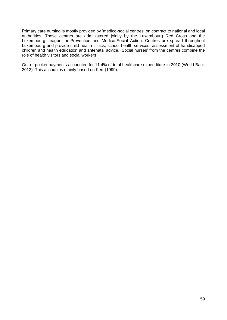Primary care nursing is mostly provided by 'medico-social centres' on contract to national and local authorities. These centres are administered jointly by the Luxembourg Red Cross and the Luxembourg League for Prevention and Medico-Social Action. Centres are spread throughout Luxembourg and provide child health clinics, school health services, assessment of handicapped children and health education and antenatal advice. 'Social nurses' from the centres combine the role of health visitors and social workers.

Out-of-pocket payments accounted for 11.4% of total healthcare expenditure in 2010 (World Bank 2012). This account is mainly based on Kerr (1999).